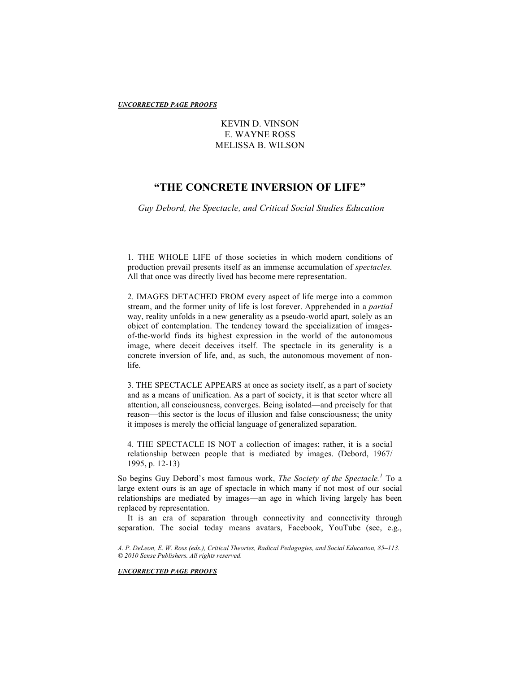#### *UNCORRECTED PAGE PROOFS*

# KEVIN D. VINSON E. WAYNE ROSS MELISSA B. WILSON

# **"THE CONCRETE INVERSION OF LIFE"**

 *Guy Debord, the Spectacle, and Critical Social Studies Education*

1. THE WHOLE LIFE of those societies in which modern conditions of production prevail presents itself as an immense accumulation of *spectacles.* All that once was directly lived has become mere representation.

2. IMAGES DETACHED FROM every aspect of life merge into a common stream, and the former unity of life is lost forever. Apprehended in a *partial* way, reality unfolds in a new generality as a pseudo-world apart, solely as an object of contemplation. The tendency toward the specialization of imagesof-the-world finds its highest expression in the world of the autonomous image, where deceit deceives itself. The spectacle in its generality is a concrete inversion of life, and, as such, the autonomous movement of nonlife.

3. THE SPECTACLE APPEARS at once as society itself, as a part of society and as a means of unification. As a part of society, it is that sector where all attention, all consciousness, converges. Being isolated—and precisely for that reason—this sector is the locus of illusion and false consciousness; the unity it imposes is merely the official language of generalized separation.

4. THE SPECTACLE IS NOT a collection of images; rather, it is a social relationship between people that is mediated by images. (Debord, 1967/ 1995, p. 12-13)

So begins Guy Debord's most famous work, *The Society of the Spectacle*.<sup>*1*</sup> To a large extent ours is an age of spectacle in which many if not most of our social relationships are mediated by images—an age in which living largely has been replaced by representation.

It is an era of separation through connectivity and connectivity through separation. The social today means avatars, Facebook, YouTube (see, e.g.,

*A. P. DeLeon, E. W. Ross (eds.), Critical Theories, Radical Pedagogies, and Social Education, 85–113. © 2010 Sense Publishers. All rights reserved.*

#### *UNCORRECTED PAGE PROOFS*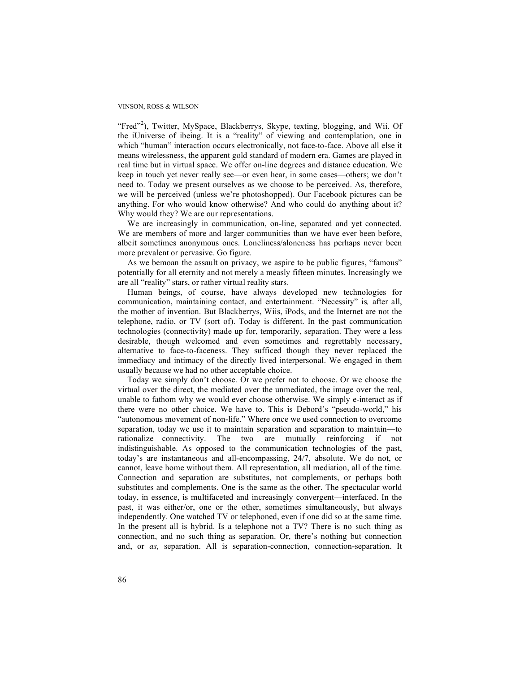"Fred"<sup>2</sup>), Twitter, MySpace, Blackberrys, Skype, texting, blogging, and Wii. Of the iUniverse of ibeing. It is a "reality" of viewing and contemplation, one in which "human" interaction occurs electronically, not face-to-face. Above all else it means wirelessness, the apparent gold standard of modern era. Games are played in real time but in virtual space. We offer on-line degrees and distance education. We keep in touch yet never really see—or even hear, in some cases—others; we don't need to. Today we present ourselves as we choose to be perceived. As, therefore, we will be perceived (unless we're photoshopped). Our Facebook pictures can be anything. For who would know otherwise? And who could do anything about it? Why would they? We are our representations.

We are increasingly in communication, on-line, separated and yet connected. We are members of more and larger communities than we have ever been before, albeit sometimes anonymous ones. Loneliness/aloneness has perhaps never been more prevalent or pervasive. Go figure.

As we bemoan the assault on privacy, we aspire to be public figures, "famous" potentially for all eternity and not merely a measly fifteen minutes. Increasingly we are all "reality" stars, or rather virtual reality stars.

Human beings, of course, have always developed new technologies for communication, maintaining contact, and entertainment. "Necessity" is*,* after all, the mother of invention. But Blackberrys, Wiis, iPods, and the Internet are not the telephone, radio, or TV (sort of). Today is different. In the past communication technologies (connectivity) made up for, temporarily, separation. They were a less desirable, though welcomed and even sometimes and regrettably necessary, alternative to face-to-faceness. They sufficed though they never replaced the immediacy and intimacy of the directly lived interpersonal. We engaged in them usually because we had no other acceptable choice.

Today we simply don't choose. Or we prefer not to choose. Or we choose the virtual over the direct, the mediated over the unmediated, the image over the real, unable to fathom why we would ever choose otherwise. We simply e-interact as if there were no other choice. We have to. This is Debord's "pseudo-world," his "autonomous movement of non-life." Where once we used connection to overcome separation, today we use it to maintain separation and separation to maintain—to rationalize—connectivity. The two are mutually reinforcing if not indistinguishable. As opposed to the communication technologies of the past, today's are instantaneous and all-encompassing, 24/7, absolute. We do not, or cannot, leave home without them. All representation, all mediation, all of the time. Connection and separation are substitutes, not complements, or perhaps both substitutes and complements. One is the same as the other. The spectacular world today, in essence, is multifaceted and increasingly convergent—interfaced. In the past, it was either/or, one or the other, sometimes simultaneously, but always independently. One watched TV or telephoned, even if one did so at the same time. In the present all is hybrid. Is a telephone not a TV? There is no such thing as connection, and no such thing as separation. Or, there's nothing but connection and, or *as,* separation. All is separation-connection, connection-separation. It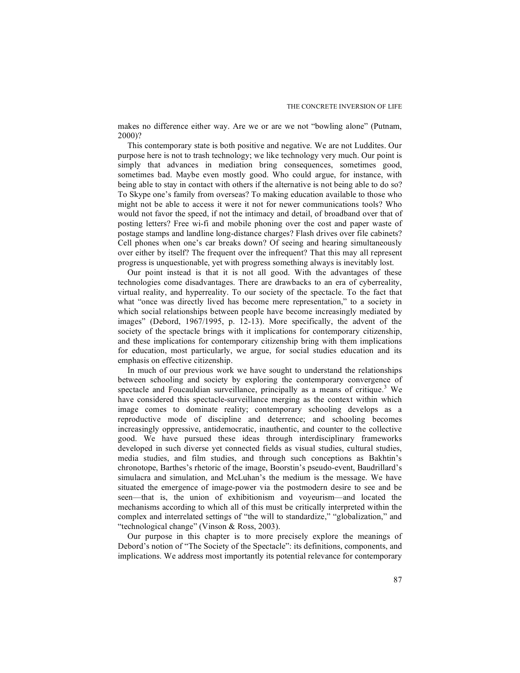makes no difference either way. Are we or are we not "bowling alone" (Putnam, 2000)?

This contemporary state is both positive and negative. We are not Luddites. Our purpose here is not to trash technology; we like technology very much. Our point is simply that advances in mediation bring consequences, sometimes good, sometimes bad. Maybe even mostly good. Who could argue, for instance, with being able to stay in contact with others if the alternative is not being able to do so? To Skype one's family from overseas? To making education available to those who might not be able to access it were it not for newer communications tools? Who would not favor the speed, if not the intimacy and detail, of broadband over that of posting letters? Free wi-fi and mobile phoning over the cost and paper waste of postage stamps and landline long-distance charges? Flash drives over file cabinets? Cell phones when one's car breaks down? Of seeing and hearing simultaneously over either by itself? The frequent over the infrequent? That this may all represent progress is unquestionable, yet with progress something always is inevitably lost.

Our point instead is that it is not all good. With the advantages of these technologies come disadvantages. There are drawbacks to an era of cyberreality, virtual reality, and hyperreality. To our society of the spectacle. To the fact that what "once was directly lived has become mere representation," to a society in which social relationships between people have become increasingly mediated by images" (Debord, 1967/1995, p. 12-13). More specifically, the advent of the society of the spectacle brings with it implications for contemporary citizenship, and these implications for contemporary citizenship bring with them implications for education, most particularly, we argue, for social studies education and its emphasis on effective citizenship.

In much of our previous work we have sought to understand the relationships between schooling and society by exploring the contemporary convergence of spectacle and Foucauldian surveillance, principally as a means of critique.<sup>3</sup> We have considered this spectacle-surveillance merging as the context within which image comes to dominate reality; contemporary schooling develops as a reproductive mode of discipline and deterrence; and schooling becomes increasingly oppressive, antidemocratic, inauthentic, and counter to the collective good. We have pursued these ideas through interdisciplinary frameworks developed in such diverse yet connected fields as visual studies, cultural studies, media studies, and film studies, and through such conceptions as Bakhtin's chronotope, Barthes's rhetoric of the image, Boorstin's pseudo-event, Baudrillard's simulacra and simulation, and McLuhan's the medium is the message. We have situated the emergence of image-power via the postmodern desire to see and be seen—that is, the union of exhibitionism and voyeurism—and located the mechanisms according to which all of this must be critically interpreted within the complex and interrelated settings of "the will to standardize," "globalization," and "technological change" (Vinson & Ross, 2003).

Our purpose in this chapter is to more precisely explore the meanings of Debord's notion of "The Society of the Spectacle": its definitions, components, and implications. We address most importantly its potential relevance for contemporary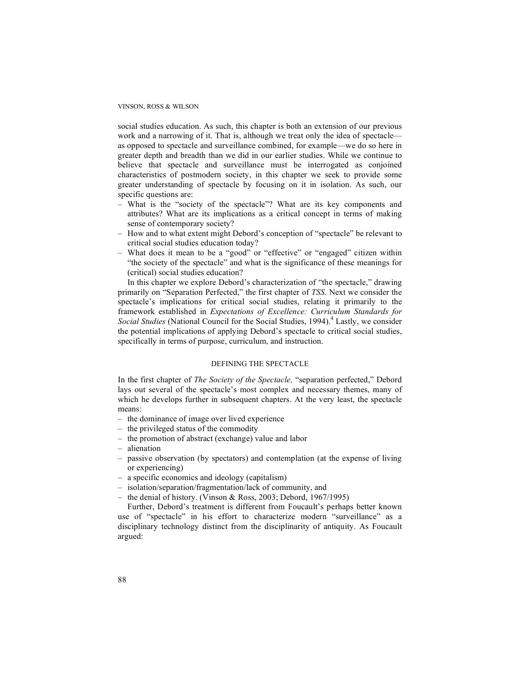social studies education. As such, this chapter is both an extension of our previous work and a narrowing of it. That is, although we treat only the idea of spectacle as opposed to spectacle and surveillance combined, for example—we do so here in greater depth and breadth than we did in our earlier studies. While we continue to believe that spectacle and surveillance must be interrogated as conjoined characteristics of postmodern society, in this chapter we seek to provide some greater understanding of spectacle by focusing on it in isolation. As such, our specific questions are:

- What is the "society of the spectacle"? What are its key components and attributes? What are its implications as a critical concept in terms of making sense of contemporary society?
- How and to what extent might Debord's conception of "spectacle" be relevant to critical social studies education today?
- What does it mean to be a "good" or "effective" or "engaged" citizen within "the society of the spectacle" and what is the significance of these meanings for (critical) social studies education?

In this chapter we explore Debord's characterization of "the spectacle," drawing primarily on "Separation Perfected," the first chapter of *TSS.* Next we consider the spectacle's implications for critical social studies, relating it primarily to the framework established in *Expectations of Excellence: Curriculum Standards for Social Studies* (National Council for the Social Studies, 1994).<sup>4</sup> Lastly, we consider the potential implications of applying Debord's spectacle to critical social studies, specifically in terms of purpose, curriculum, and instruction.

## DEFINING THE SPECTACLE

In the first chapter of *The Society of the Spectacle,* "separation perfected," Debord lays out several of the spectacle's most complex and necessary themes, many of which he develops further in subsequent chapters. At the very least, the spectacle means:

- the dominance of image over lived experience
- the privileged status of the commodity
- the promotion of abstract (exchange) value and labor
- alienation
- passive observation (by spectators) and contemplation (at the expense of living or experiencing)
- a specific economics and ideology (capitalism)
- isolation/separation/fragmentation/lack of community, and
- the denial of history. (Vinson & Ross, 2003; Debord, 1967/1995)

Further, Debord's treatment is different from Foucault's perhaps better known use of "spectacle" in his effort to characterize modern "surveillance" as a disciplinary technology distinct from the disciplinarity of antiquity. As Foucault argued: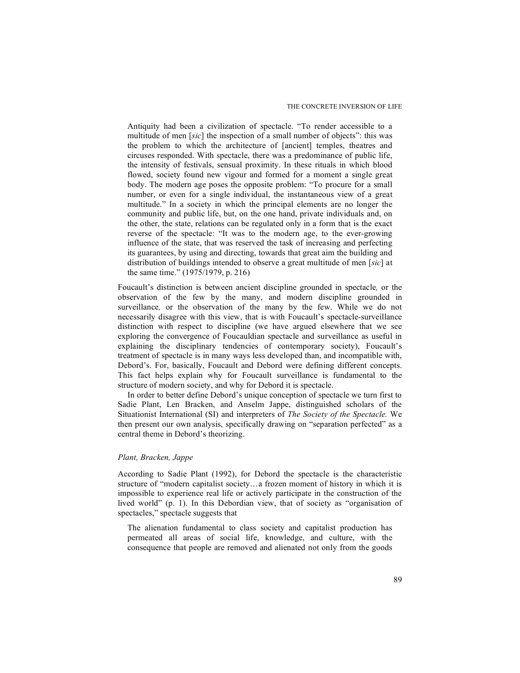Antiquity had been a civilization of spectacle. "To render accessible to a multitude of men [*sic*] the inspection of a small number of objects": this was the problem to which the architecture of [ancient] temples, theatres and circuses responded. With spectacle, there was a predominance of public life, the intensity of festivals, sensual proximity. In these rituals in which blood flowed, society found new vigour and formed for a moment a single great body. The modern age poses the opposite problem: "To procure for a small number, or even for a single individual, the instantaneous view of a great multitude." In a society in which the principal elements are no longer the community and public life, but, on the one hand, private individuals and, on the other, the state, relations can be regulated only in a form that is the exact reverse of the spectacle: "It was to the modern age, to the ever-growing influence of the state, that was reserved the task of increasing and perfecting its guarantees, by using and directing, towards that great aim the building and distribution of buildings intended to observe a great multitude of men [*sic*] at the same time." (1975/1979, p. 216)

Foucault's distinction is between ancient discipline grounded in spectacle*,* or the observation of the few by the many, and modern discipline grounded in surveillance*,* or the observation of the many by the few. While we do not necessarily disagree with this view, that is with Foucault's spectacle-surveillance distinction with respect to discipline (we have argued elsewhere that we see exploring the convergence of Foucauldian spectacle and surveillance as useful in explaining the disciplinary tendencies of contemporary society), Foucault's treatment of spectacle is in many ways less developed than, and incompatible with, Debord's. For, basically, Foucault and Debord were defining different concepts. This fact helps explain why for Foucault surveillance is fundamental to the structure of modern society, and why for Debord it is spectacle.

In order to better define Debord's unique conception of spectacle we turn first to Sadie Plant, Len Bracken, and Anselm Jappe, distinguished scholars of the Situationist International (SI) and interpreters of *The Society of the Spectacle.* We then present our own analysis, specifically drawing on "separation perfected" as a central theme in Debord's theorizing.

## *Plant, Bracken, Jappe*

According to Sadie Plant (1992), for Debord the spectacle is the characteristic structure of "modern capitalist society…a frozen moment of history in which it is impossible to experience real life or actively participate in the construction of the lived world" (p. 1). In this Debordian view, that of society as "organisation of spectacles," spectacle suggests that

The alienation fundamental to class society and capitalist production has permeated all areas of social life, knowledge, and culture, with the consequence that people are removed and alienated not only from the goods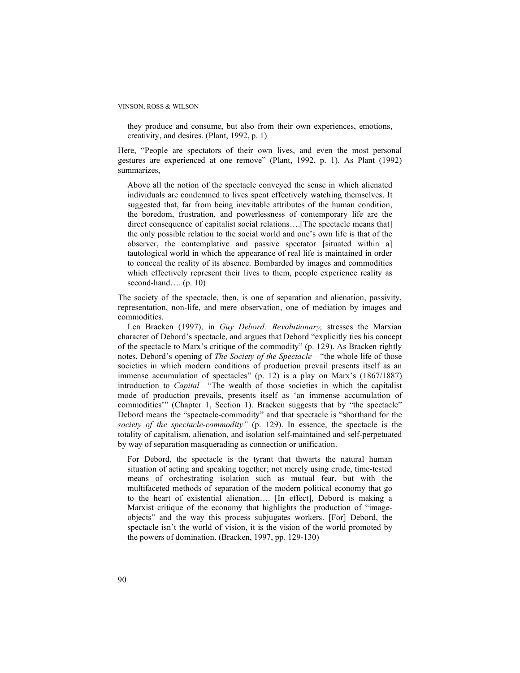they produce and consume, but also from their own experiences, emotions, creativity, and desires. (Plant, 1992, p. 1)

Here, "People are spectators of their own lives, and even the most personal gestures are experienced at one remove" (Plant, 1992, p. 1). As Plant (1992) summarizes,

Above all the notion of the spectacle conveyed the sense in which alienated individuals are condemned to lives spent effectively watching themselves. It suggested that, far from being inevitable attributes of the human condition, the boredom, frustration, and powerlessness of contemporary life are the direct consequence of capitalist social relations....[The spectacle means that] the only possible relation to the social world and one's own life is that of the observer, the contemplative and passive spectator [situated within a] tautological world in which the appearance of real life is maintained in order to conceal the reality of its absence. Bombarded by images and commodities which effectively represent their lives to them, people experience reality as second-hand... $(p. 10)$ 

The society of the spectacle, then, is one of separation and alienation, passivity, representation, non-life, and mere observation, one of mediation by images and commodities.

Len Bracken (1997), in *Guy Debord: Revolutionary,* stresses the Marxian character of Debord's spectacle, and argues that Debord "explicitly ties his concept of the spectacle to Marx's critique of the commodity" (p. 129). As Bracken rightly notes, Debord's opening of *The Society of the Spectacle*—"the whole life of those societies in which modern conditions of production prevail presents itself as an immense accumulation of spectacles" (p. 12) is a play on Marx's (1867/1887) introduction to *Capital*—"The wealth of those societies in which the capitalist mode of production prevails, presents itself as 'an immense accumulation of commodities'" (Chapter 1, Section 1). Bracken suggests that by "the spectacle" Debord means the "spectacle-commodity" and that spectacle is "shorthand for the *society of the spectacle-commodity"* (p. 129). In essence, the spectacle is the totality of capitalism, alienation, and isolation self-maintained and self-perpetuated by way of separation masquerading as connection or unification.

For Debord, the spectacle is the tyrant that thwarts the natural human situation of acting and speaking together; not merely using crude, time-tested means of orchestrating isolation such as mutual fear, but with the multifaceted methods of separation of the modern political economy that go to the heart of existential alienation…. [In effect], Debord is making a Marxist critique of the economy that highlights the production of "imageobjects" and the way this process subjugates workers. [For] Debord, the spectacle isn't the world of vision, it is the vision of the world promoted by the powers of domination. (Bracken, 1997, pp. 129-130)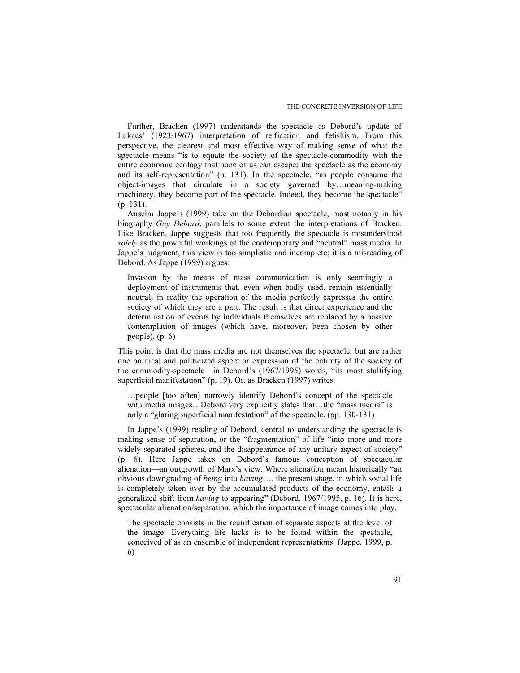Further, Bracken (1997) understands the spectacle as Debord's update of Lukacs' (1923/1967) interpretation of reification and fetishism. From this perspective, the clearest and most effective way of making sense of what the spectacle means "is to equate the society of the spectacle-commodity with the entire economic ecology that none of us can escape: the spectacle as the economy and its self-representation" (p. 131). In the spectacle, "as people consume the object-images that circulate in a society governed by…meaning-making machinery, they become part of the spectacle. Indeed, they become the spectacle" (p. 131).

Anselm Jappe's (1999) take on the Debordian spectacle, most notably in his biography *Guy Debord*, parallels to some extent the interpretations of Bracken. Like Bracken, Jappe suggests that too frequently the spectacle is misunderstood *solely* as the powerful workings of the contemporary and "neutral" mass media. In Jappe's judgment, this view is too simplistic and incomplete; it is a misreading of Debord. As Jappe (1999) argues:

Invasion by the means of mass communication is only seemingly a deployment of instruments that, even when badly used, remain essentially neutral; in reality the operation of the media perfectly expresses the entire society of which they are a part. The result is that direct experience and the determination of events by individuals themselves are replaced by a passive contemplation of images (which have, moreover, been chosen by other people).  $(p. 6)$ 

This point is that the mass media are not themselves the spectacle, but are rather one political and politicized aspect or expression of the entirety of the society of the commodity-spectacle—in Debord's (1967/1995) words, "its most stultifying superficial manifestation" (p. 19). Or, as Bracken (1997) writes:

…people [too often] narrowly identify Debord's concept of the spectacle with media images...Debord very explicitly states that...the "mass media" is only a "glaring superficial manifestation" of the spectacle. (pp. 130-131)

In Jappe's (1999) reading of Debord, central to understanding the spectacle is making sense of separation, or the "fragmentation" of life "into more and more widely separated spheres, and the disappearance of any unitary aspect of society" (p. 6). Here Jappe takes on Debord's famous conception of spectacular alienation—an outgrowth of Marx's view. Where alienation meant historically "an obvious downgrading of *being* into *having*…. the present stage, in which social life is completely taken over by the accumulated products of the economy, entails a generalized shift from *having* to appearing" (Debord, 1967/1995, p. 16). It is here, spectacular alienation/separation, which the importance of image comes into play.

The spectacle consists in the reunification of separate aspects at the level of the image. Everything life lacks is to be found within the spectacle, conceived of as an ensemble of independent representations. (Jappe, 1999, p. 6)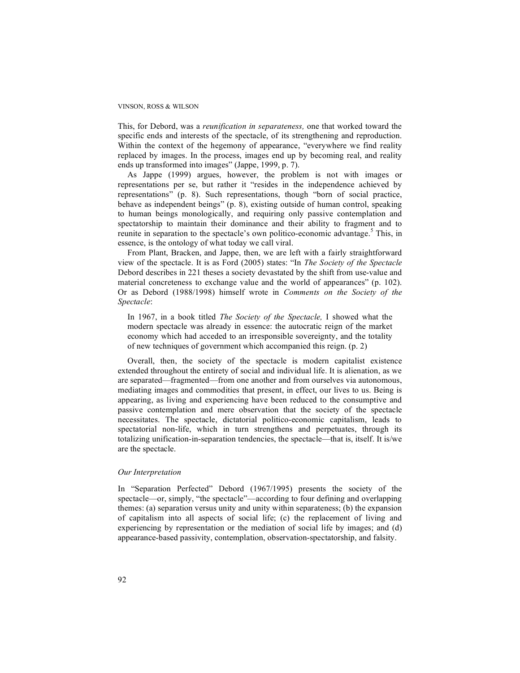This, for Debord, was a *reunification in separateness,* one that worked toward the specific ends and interests of the spectacle, of its strengthening and reproduction. Within the context of the hegemony of appearance, "everywhere we find reality replaced by images. In the process, images end up by becoming real, and reality ends up transformed into images" (Jappe, 1999, p. 7).

As Jappe (1999) argues, however, the problem is not with images or representations per se, but rather it "resides in the independence achieved by representations" (p. 8). Such representations, though "born of social practice, behave as independent beings" (p. 8), existing outside of human control, speaking to human beings monologically, and requiring only passive contemplation and spectatorship to maintain their dominance and their ability to fragment and to reunite in separation to the spectacle's own politico-economic advantage.<sup>5</sup> This, in essence, is the ontology of what today we call viral.

From Plant, Bracken, and Jappe, then, we are left with a fairly straightforward view of the spectacle. It is as Ford (2005) states: "In *The Society of the Spectacle* Debord describes in 221 theses a society devastated by the shift from use-value and material concreteness to exchange value and the world of appearances" (p. 102). Or as Debord (1988/1998) himself wrote in *Comments on the Society of the Spectacle*:

In 1967, in a book titled *The Society of the Spectacle,* I showed what the modern spectacle was already in essence: the autocratic reign of the market economy which had acceded to an irresponsible sovereignty, and the totality of new techniques of government which accompanied this reign. (p. 2)

Overall, then, the society of the spectacle is modern capitalist existence extended throughout the entirety of social and individual life. It is alienation, as we are separated—fragmented—from one another and from ourselves via autonomous, mediating images and commodities that present, in effect, our lives to us. Being is appearing, as living and experiencing have been reduced to the consumptive and passive contemplation and mere observation that the society of the spectacle necessitates. The spectacle, dictatorial politico-economic capitalism, leads to spectatorial non-life, which in turn strengthens and perpetuates, through its totalizing unification-in-separation tendencies, the spectacle—that is, itself. It is/we are the spectacle.

#### *Our Interpretation*

In "Separation Perfected" Debord (1967/1995) presents the society of the spectacle—or, simply, "the spectacle"—according to four defining and overlapping themes: (a) separation versus unity and unity within separateness; (b) the expansion of capitalism into all aspects of social life; (c) the replacement of living and experiencing by representation or the mediation of social life by images; and (d) appearance-based passivity, contemplation, observation-spectatorship, and falsity.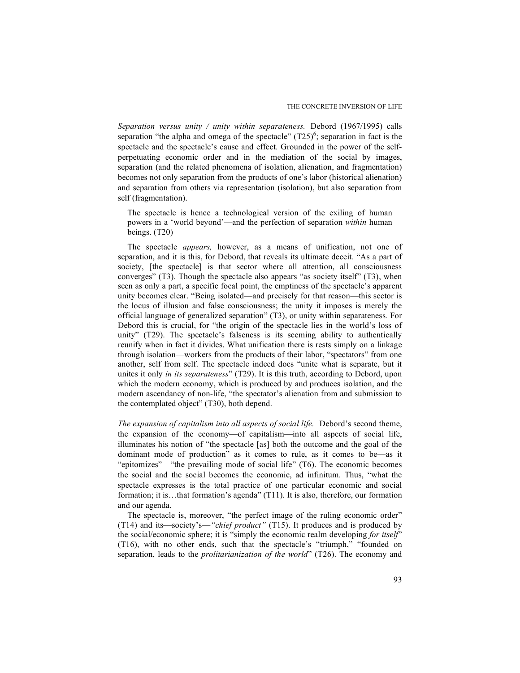*Separation versus unity / unity within separateness.* Debord (1967/1995) calls separation "the alpha and omega of the spectacle"  $(T25)$ <sup>6</sup>; separation in fact is the spectacle and the spectacle's cause and effect. Grounded in the power of the selfperpetuating economic order and in the mediation of the social by images, separation (and the related phenomena of isolation, alienation, and fragmentation) becomes not only separation from the products of one's labor (historical alienation) and separation from others via representation (isolation), but also separation from self (fragmentation).

The spectacle is hence a technological version of the exiling of human powers in a 'world beyond'—and the perfection of separation *within* human beings. (T20)

The spectacle *appears,* however, as a means of unification, not one of separation, and it is this, for Debord, that reveals its ultimate deceit. "As a part of society, [the spectacle] is that sector where all attention, all consciousness converges" (T3). Though the spectacle also appears "as society itself" (T3), when seen as only a part, a specific focal point, the emptiness of the spectacle's apparent unity becomes clear. "Being isolated—and precisely for that reason—this sector is the locus of illusion and false consciousness; the unity it imposes is merely the official language of generalized separation" (T3), or unity within separateness*.* For Debord this is crucial, for "the origin of the spectacle lies in the world's loss of unity" (T29). The spectacle's falseness is its seeming ability to authentically reunify when in fact it divides. What unification there is rests simply on a linkage through isolation—workers from the products of their labor, "spectators" from one another, self from self. The spectacle indeed does "unite what is separate, but it unites it only *in its separateness*" (T29). It is this truth, according to Debord, upon which the modern economy, which is produced by and produces isolation, and the modern ascendancy of non-life, "the spectator's alienation from and submission to the contemplated object" (T30), both depend.

*The expansion of capitalism into all aspects of social life.* Debord's second theme, the expansion of the economy—of capitalism—into all aspects of social life, illuminates his notion of "the spectacle [as] both the outcome and the goal of the dominant mode of production" as it comes to rule, as it comes to be—as it "epitomizes"—"the prevailing mode of social life" (T6). The economic becomes the social and the social becomes the economic, ad infinitum. Thus, "what the spectacle expresses is the total practice of one particular economic and social formation; it is…that formation's agenda" (T11). It is also, therefore, our formation and our agenda.

The spectacle is, moreover, "the perfect image of the ruling economic order" (T14) and its—society's—*"chief product"* (T15). It produces and is produced by the social/economic sphere; it is "simply the economic realm developing *for itself*" (T16), with no other ends, such that the spectacle's "triumph," "founded on separation, leads to the *prolitarianization of the world*" (T26). The economy and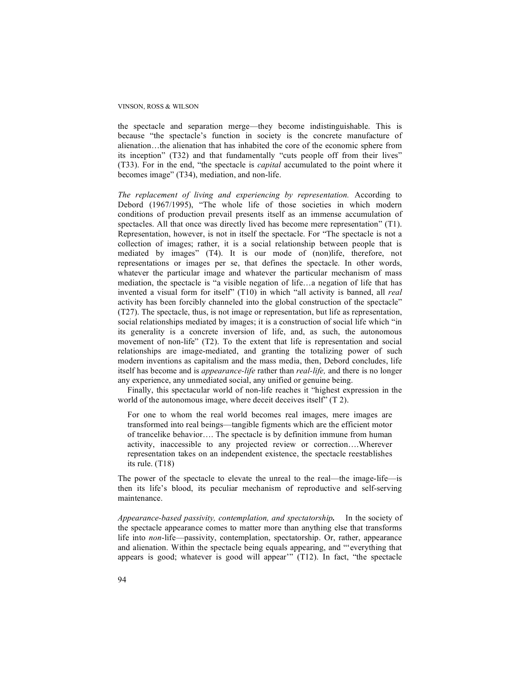the spectacle and separation merge—they become indistinguishable. This is because "the spectacle's function in society is the concrete manufacture of alienation…the alienation that has inhabited the core of the economic sphere from its inception" (T32) and that fundamentally "cuts people off from their lives" (T33). For in the end, "the spectacle is *capital* accumulated to the point where it becomes image" (T34), mediation, and non-life.

*The replacement of living and experiencing by representation.* According to Debord (1967/1995), "The whole life of those societies in which modern conditions of production prevail presents itself as an immense accumulation of spectacles. All that once was directly lived has become mere representation" (T1). Representation, however, is not in itself the spectacle. For "The spectacle is not a collection of images; rather, it is a social relationship between people that is mediated by images" (T4). It is our mode of (non)life, therefore, not representations or images per se, that defines the spectacle. In other words, whatever the particular image and whatever the particular mechanism of mass mediation, the spectacle is "a visible negation of life…a negation of life that has invented a visual form for itself" (T10) in which "all activity is banned, all *real* activity has been forcibly channeled into the global construction of the spectacle" (T27). The spectacle, thus, is not image or representation, but life as representation, social relationships mediated by images; it is a construction of social life which "in its generality is a concrete inversion of life, and, as such, the autonomous movement of non-life" (T2). To the extent that life is representation and social relationships are image-mediated, and granting the totalizing power of such modern inventions as capitalism and the mass media, then, Debord concludes, life itself has become and is *appearance-life* rather than *real-life,* and there is no longer any experience, any unmediated social, any unified or genuine being.

Finally, this spectacular world of non-life reaches it "highest expression in the world of the autonomous image, where deceit deceives itself" (T 2).

For one to whom the real world becomes real images, mere images are transformed into real beings—tangible figments which are the efficient motor of trancelike behavior…. The spectacle is by definition immune from human activity, inaccessible to any projected review or correction….Wherever representation takes on an independent existence, the spectacle reestablishes its rule. (T18)

The power of the spectacle to elevate the unreal to the real—the image-life—is then its life's blood, its peculiar mechanism of reproductive and self-serving maintenance.

*Appearance-based passivity, contemplation, and spectatorship.* In the society of the spectacle appearance comes to matter more than anything else that transforms life into *non*-life—passivity, contemplation, spectatorship. Or, rather, appearance and alienation. Within the spectacle being equals appearing, and "'everything that appears is good; whatever is good will appear'" (T12). In fact, "the spectacle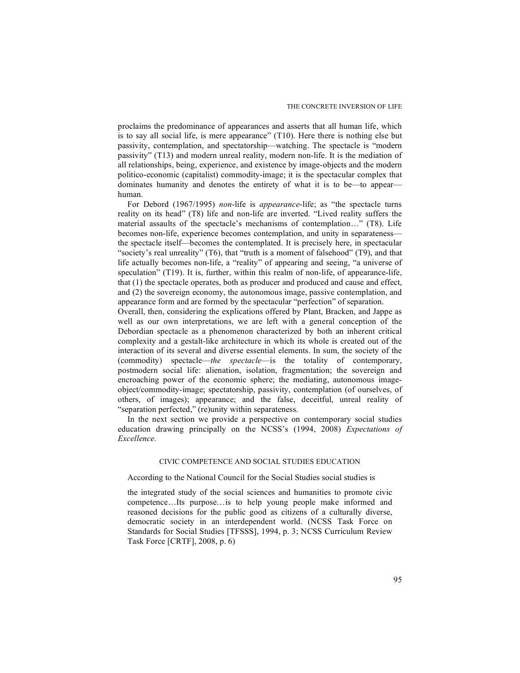proclaims the predominance of appearances and asserts that all human life, which is to say all social life, is mere appearance" (T10). Here there is nothing else but passivity, contemplation, and spectatorship—watching. The spectacle is "modern passivity" (T13) and modern unreal reality, modern non-life. It is the mediation of all relationships, being, experience, and existence by image-objects and the modern politico-economic (capitalist) commodity-image; it is the spectacular complex that dominates humanity and denotes the entirety of what it is to be—to appear human.

For Debord (1967/1995) *non*-life is *appearance*-life; as "the spectacle turns reality on its head" (T8) life and non-life are inverted. "Lived reality suffers the material assaults of the spectacle's mechanisms of contemplation…" (T8). Life becomes non-life, experience becomes contemplation, and unity in separateness the spectacle itself—becomes the contemplated. It is precisely here, in spectacular "society's real unreality" (T6), that "truth is a moment of falsehood" (T9), and that life actually becomes non-life, a "reality" of appearing and seeing, "a universe of speculation" (T19). It is, further, within this realm of non-life, of appearance-life, that (1) the spectacle operates, both as producer and produced and cause and effect, and (2) the sovereign economy, the autonomous image, passive contemplation, and appearance form and are formed by the spectacular "perfection" of separation.

Overall, then, considering the explications offered by Plant, Bracken, and Jappe as well as our own interpretations, we are left with a general conception of the Debordian spectacle as a phenomenon characterized by both an inherent critical complexity and a gestalt-like architecture in which its whole is created out of the interaction of its several and diverse essential elements. In sum, the society of the (commodity) spectacle—*the spectacle*—is the totality of contemporary, postmodern social life: alienation, isolation, fragmentation; the sovereign and encroaching power of the economic sphere; the mediating, autonomous imageobject/commodity-image; spectatorship, passivity, contemplation (of ourselves, of others, of images); appearance; and the false, deceitful, unreal reality of "separation perfected," (re)unity within separateness.

In the next section we provide a perspective on contemporary social studies education drawing principally on the NCSS's (1994, 2008) *Expectations of Excellence.*

#### CIVIC COMPETENCE AND SOCIAL STUDIES EDUCATION

According to the National Council for the Social Studies social studies is

the integrated study of the social sciences and humanities to promote civic competence…Its purpose…is to help young people make informed and reasoned decisions for the public good as citizens of a culturally diverse, democratic society in an interdependent world. (NCSS Task Force on Standards for Social Studies [TFSSS], 1994, p. 3; NCSS Curriculum Review Task Force [CRTF], 2008, p. 6)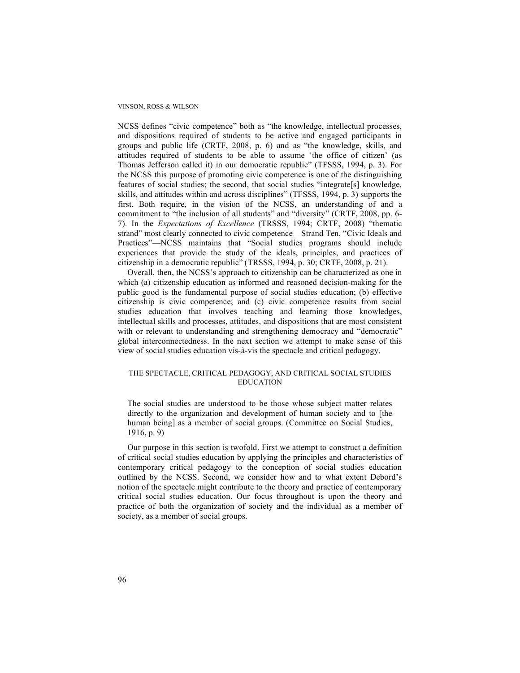NCSS defines "civic competence" both as "the knowledge, intellectual processes, and dispositions required of students to be active and engaged participants in groups and public life (CRTF, 2008, p. 6) and as "the knowledge, skills, and attitudes required of students to be able to assume 'the office of citizen' (as Thomas Jefferson called it) in our democratic republic" (TFSSS, 1994, p. 3). For the NCSS this purpose of promoting civic competence is one of the distinguishing features of social studies; the second, that social studies "integrate[s] knowledge, skills, and attitudes within and across disciplines" (TFSSS, 1994, p. 3) supports the first. Both require, in the vision of the NCSS, an understanding of and a commitment to "the inclusion of all students" and "diversity" (CRTF, 2008, pp. 6- 7). In the *Expectations of Excellence* (TRSSS, 1994; CRTF, 2008) "thematic strand" most clearly connected to civic competence—Strand Ten, "Civic Ideals and Practices"—NCSS maintains that "Social studies programs should include experiences that provide the study of the ideals, principles, and practices of citizenship in a democratic republic" (TRSSS, 1994, p. 30; CRTF, 2008, p. 21).

Overall, then, the NCSS's approach to citizenship can be characterized as one in which (a) citizenship education as informed and reasoned decision-making for the public good is the fundamental purpose of social studies education; (b) effective citizenship is civic competence; and (c) civic competence results from social studies education that involves teaching and learning those knowledges, intellectual skills and processes, attitudes, and dispositions that are most consistent with or relevant to understanding and strengthening democracy and "democratic" global interconnectedness. In the next section we attempt to make sense of this view of social studies education vis-à-vis the spectacle and critical pedagogy.

# THE SPECTACLE, CRITICAL PEDAGOGY, AND CRITICAL SOCIAL STUDIES EDUCATION

The social studies are understood to be those whose subject matter relates directly to the organization and development of human society and to [the human being] as a member of social groups. (Committee on Social Studies, 1916, p. 9)

Our purpose in this section is twofold. First we attempt to construct a definition of critical social studies education by applying the principles and characteristics of contemporary critical pedagogy to the conception of social studies education outlined by the NCSS. Second, we consider how and to what extent Debord's notion of the spectacle might contribute to the theory and practice of contemporary critical social studies education. Our focus throughout is upon the theory and practice of both the organization of society and the individual as a member of society, as a member of social groups.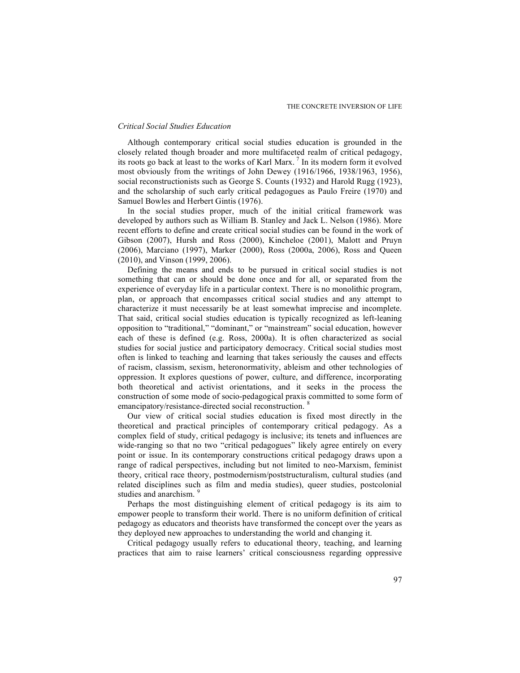## *Critical Social Studies Education*

Although contemporary critical social studies education is grounded in the closely related though broader and more multifaceted realm of critical pedagogy, its roots go back at least to the works of Karl Marx.<sup>7</sup> In its modern form it evolved most obviously from the writings of John Dewey (1916/1966, 1938/1963, 1956), social reconstructionists such as George S. Counts (1932) and Harold Rugg (1923), and the scholarship of such early critical pedagogues as Paulo Freire (1970) and Samuel Bowles and Herbert Gintis (1976).

In the social studies proper, much of the initial critical framework was developed by authors such as William B. Stanley and Jack L. Nelson (1986). More recent efforts to define and create critical social studies can be found in the work of Gibson (2007), Hursh and Ross (2000), Kincheloe (2001), Malott and Pruyn (2006), Marciano (1997), Marker (2000), Ross (2000a, 2006), Ross and Queen (2010), and Vinson (1999, 2006).

Defining the means and ends to be pursued in critical social studies is not something that can or should be done once and for all, or separated from the experience of everyday life in a particular context. There is no monolithic program, plan, or approach that encompasses critical social studies and any attempt to characterize it must necessarily be at least somewhat imprecise and incomplete. That said, critical social studies education is typically recognized as left-leaning opposition to "traditional," "dominant," or "mainstream" social education, however each of these is defined (e.g. Ross, 2000a). It is often characterized as social studies for social justice and participatory democracy. Critical social studies most often is linked to teaching and learning that takes seriously the causes and effects of racism, classism, sexism, heteronormativity, ableism and other technologies of oppression. It explores questions of power, culture, and difference, incorporating both theoretical and activist orientations, and it seeks in the process the construction of some mode of socio-pedagogical praxis committed to some form of emancipatory/resistance-directed social reconstruction. <sup>8</sup>

Our view of critical social studies education is fixed most directly in the theoretical and practical principles of contemporary critical pedagogy. As a complex field of study, critical pedagogy is inclusive; its tenets and influences are wide-ranging so that no two "critical pedagogues" likely agree entirely on every point or issue. In its contemporary constructions critical pedagogy draws upon a range of radical perspectives, including but not limited to neo-Marxism, feminist theory, critical race theory, postmodernism/poststructuralism, cultural studies (and related disciplines such as film and media studies), queer studies, postcolonial studies and anarchism.

Perhaps the most distinguishing element of critical pedagogy is its aim to empower people to transform their world. There is no uniform definition of critical pedagogy as educators and theorists have transformed the concept over the years as they deployed new approaches to understanding the world and changing it.

Critical pedagogy usually refers to educational theory, teaching, and learning practices that aim to raise learners' critical consciousness regarding oppressive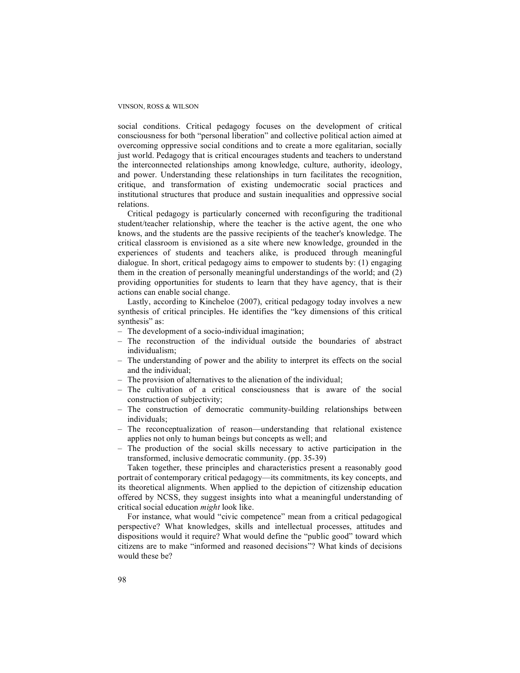social conditions. Critical pedagogy focuses on the development of critical consciousness for both "personal liberation" and collective political action aimed at overcoming oppressive social conditions and to create a more egalitarian, socially just world. Pedagogy that is critical encourages students and teachers to understand the interconnected relationships among knowledge, culture, authority, ideology, and power. Understanding these relationships in turn facilitates the recognition, critique, and transformation of existing undemocratic social practices and institutional structures that produce and sustain inequalities and oppressive social relations.

Critical pedagogy is particularly concerned with reconfiguring the traditional student/teacher relationship, where the teacher is the active agent, the one who knows, and the students are the passive recipients of the teacher's knowledge. The critical classroom is envisioned as a site where new knowledge, grounded in the experiences of students and teachers alike, is produced through meaningful dialogue. In short, critical pedagogy aims to empower to students by: (1) engaging them in the creation of personally meaningful understandings of the world; and (2) providing opportunities for students to learn that they have agency, that is their actions can enable social change.

Lastly, according to Kincheloe (2007), critical pedagogy today involves a new synthesis of critical principles. He identifies the "key dimensions of this critical synthesis" as:

- The development of a socio-individual imagination;
- The reconstruction of the individual outside the boundaries of abstract individualism;
- The understanding of power and the ability to interpret its effects on the social and the individual;
- The provision of alternatives to the alienation of the individual;
- The cultivation of a critical consciousness that is aware of the social construction of subjectivity;
- The construction of democratic community-building relationships between individuals;
- The reconceptualization of reason—understanding that relational existence applies not only to human beings but concepts as well; and
- The production of the social skills necessary to active participation in the transformed, inclusive democratic community. (pp. 35-39)

Taken together, these principles and characteristics present a reasonably good portrait of contemporary critical pedagogy—its commitments, its key concepts, and its theoretical alignments. When applied to the depiction of citizenship education offered by NCSS, they suggest insights into what a meaningful understanding of critical social education *might* look like.

For instance, what would "civic competence" mean from a critical pedagogical perspective? What knowledges, skills and intellectual processes, attitudes and dispositions would it require? What would define the "public good" toward which citizens are to make "informed and reasoned decisions"? What kinds of decisions would these be?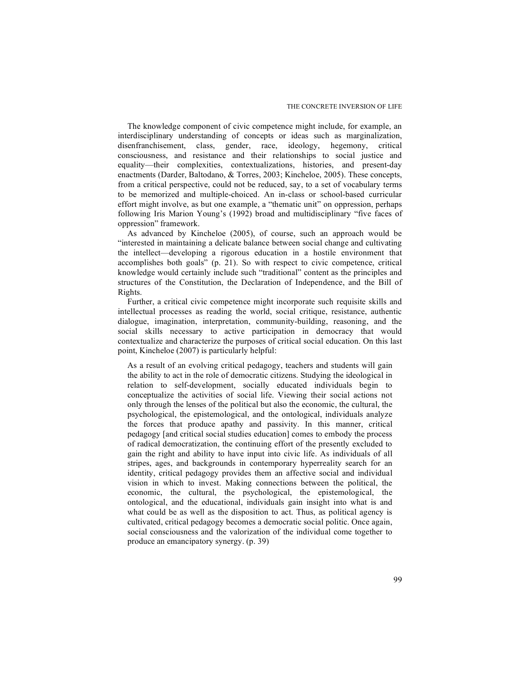The knowledge component of civic competence might include, for example, an interdisciplinary understanding of concepts or ideas such as marginalization, disenfranchisement, class, gender, race, ideology, hegemony, critical consciousness, and resistance and their relationships to social justice and equality—their complexities, contextualizations, histories, and present-day enactments (Darder, Baltodano, & Torres, 2003; Kincheloe, 2005). These concepts, from a critical perspective, could not be reduced, say, to a set of vocabulary terms to be memorized and multiple-choiced. An in-class or school-based curricular effort might involve, as but one example, a "thematic unit" on oppression, perhaps following Iris Marion Young's (1992) broad and multidisciplinary "five faces of oppression" framework.

As advanced by Kincheloe (2005), of course, such an approach would be "interested in maintaining a delicate balance between social change and cultivating the intellect—developing a rigorous education in a hostile environment that accomplishes both goals" (p. 21). So with respect to civic competence, critical knowledge would certainly include such "traditional" content as the principles and structures of the Constitution, the Declaration of Independence, and the Bill of Rights.

Further, a critical civic competence might incorporate such requisite skills and intellectual processes as reading the world, social critique, resistance, authentic dialogue, imagination, interpretation, community-building, reasoning, and the social skills necessary to active participation in democracy that would contextualize and characterize the purposes of critical social education. On this last point, Kincheloe (2007) is particularly helpful:

As a result of an evolving critical pedagogy, teachers and students will gain the ability to act in the role of democratic citizens. Studying the ideological in relation to self-development, socially educated individuals begin to conceptualize the activities of social life. Viewing their social actions not only through the lenses of the political but also the economic, the cultural, the psychological, the epistemological, and the ontological, individuals analyze the forces that produce apathy and passivity. In this manner, critical pedagogy [and critical social studies education] comes to embody the process of radical democratization, the continuing effort of the presently excluded to gain the right and ability to have input into civic life. As individuals of all stripes, ages, and backgrounds in contemporary hyperreality search for an identity, critical pedagogy provides them an affective social and individual vision in which to invest. Making connections between the political, the economic, the cultural, the psychological, the epistemological, the ontological, and the educational, individuals gain insight into what is and what could be as well as the disposition to act. Thus, as political agency is cultivated, critical pedagogy becomes a democratic social politic. Once again, social consciousness and the valorization of the individual come together to produce an emancipatory synergy. (p. 39)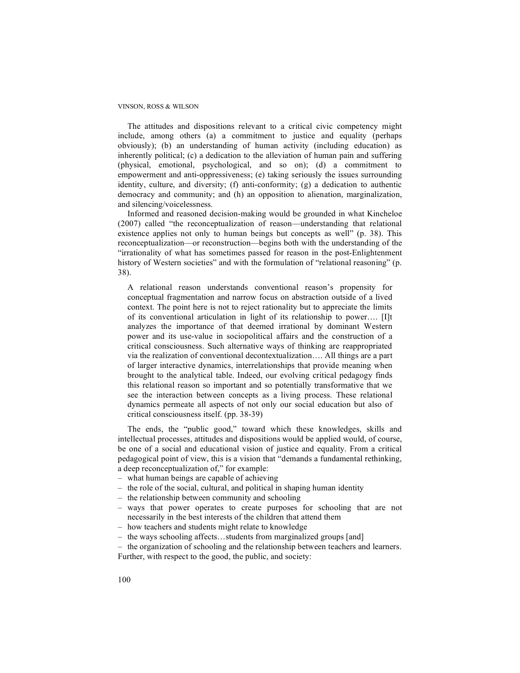The attitudes and dispositions relevant to a critical civic competency might include, among others (a) a commitment to justice and equality (perhaps obviously); (b) an understanding of human activity (including education) as inherently political; (c) a dedication to the alleviation of human pain and suffering (physical, emotional, psychological, and so on); (d) a commitment to empowerment and anti-oppressiveness; (e) taking seriously the issues surrounding identity, culture, and diversity; (f) anti-conformity; (g) a dedication to authentic democracy and community; and (h) an opposition to alienation, marginalization, and silencing/voicelessness.

Informed and reasoned decision-making would be grounded in what Kincheloe (2007) called "the reconceptualization of reason—understanding that relational existence applies not only to human beings but concepts as well" (p. 38). This reconceptualization—or reconstruction—begins both with the understanding of the "irrationality of what has sometimes passed for reason in the post-Enlightenment history of Western societies" and with the formulation of "relational reasoning" (p. 38).

A relational reason understands conventional reason's propensity for conceptual fragmentation and narrow focus on abstraction outside of a lived context. The point here is not to reject rationality but to appreciate the limits of its conventional articulation in light of its relationship to power…. [I]t analyzes the importance of that deemed irrational by dominant Western power and its use-value in sociopolitical affairs and the construction of a critical consciousness. Such alternative ways of thinking are reappropriated via the realization of conventional decontextualization…. All things are a part of larger interactive dynamics, interrelationships that provide meaning when brought to the analytical table. Indeed, our evolving critical pedagogy finds this relational reason so important and so potentially transformative that we see the interaction between concepts as a living process. These relational dynamics permeate all aspects of not only our social education but also of critical consciousness itself. (pp. 38-39)

The ends, the "public good," toward which these knowledges, skills and intellectual processes, attitudes and dispositions would be applied would, of course, be one of a social and educational vision of justice and equality. From a critical pedagogical point of view, this is a vision that "demands a fundamental rethinking, a deep reconceptualization of," for example:

- what human beings are capable of achieving
- the role of the social, cultural, and political in shaping human identity
- the relationship between community and schooling
- ways that power operates to create purposes for schooling that are not necessarily in the best interests of the children that attend them
- how teachers and students might relate to knowledge
- the ways schooling affects…students from marginalized groups [and]

– the organization of schooling and the relationship between teachers and learners. Further, with respect to the good, the public, and society: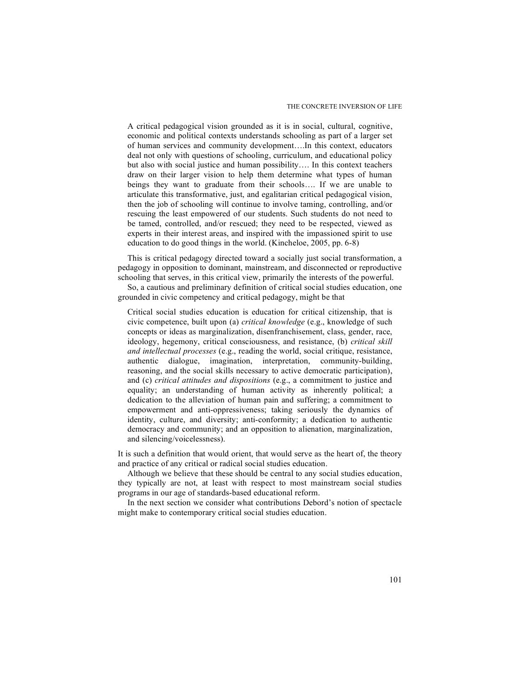A critical pedagogical vision grounded as it is in social, cultural, cognitive, economic and political contexts understands schooling as part of a larger set of human services and community development….In this context, educators deal not only with questions of schooling, curriculum, and educational policy but also with social justice and human possibility…. In this context teachers draw on their larger vision to help them determine what types of human beings they want to graduate from their schools…. If we are unable to articulate this transformative, just, and egalitarian critical pedagogical vision, then the job of schooling will continue to involve taming, controlling, and/or rescuing the least empowered of our students. Such students do not need to be tamed, controlled, and/or rescued; they need to be respected, viewed as experts in their interest areas, and inspired with the impassioned spirit to use education to do good things in the world. (Kincheloe, 2005, pp. 6-8)

This is critical pedagogy directed toward a socially just social transformation, a pedagogy in opposition to dominant, mainstream, and disconnected or reproductive schooling that serves, in this critical view, primarily the interests of the powerful.

So, a cautious and preliminary definition of critical social studies education, one grounded in civic competency and critical pedagogy, might be that

Critical social studies education is education for critical citizenship, that is civic competence, built upon (a) *critical knowledge* (e.g., knowledge of such concepts or ideas as marginalization, disenfranchisement, class, gender, race, ideology, hegemony, critical consciousness, and resistance, (b) *critical skill and intellectual processes* (e.g., reading the world, social critique, resistance, authentic dialogue, imagination, interpretation, community-building, reasoning, and the social skills necessary to active democratic participation), and (c) *critical attitudes and dispositions* (e.g., a commitment to justice and equality; an understanding of human activity as inherently political; a dedication to the alleviation of human pain and suffering; a commitment to empowerment and anti-oppressiveness; taking seriously the dynamics of identity, culture, and diversity; anti-conformity; a dedication to authentic democracy and community; and an opposition to alienation, marginalization, and silencing/voicelessness).

It is such a definition that would orient, that would serve as the heart of, the theory and practice of any critical or radical social studies education.

Although we believe that these should be central to any social studies education, they typically are not, at least with respect to most mainstream social studies programs in our age of standards-based educational reform.

In the next section we consider what contributions Debord's notion of spectacle might make to contemporary critical social studies education.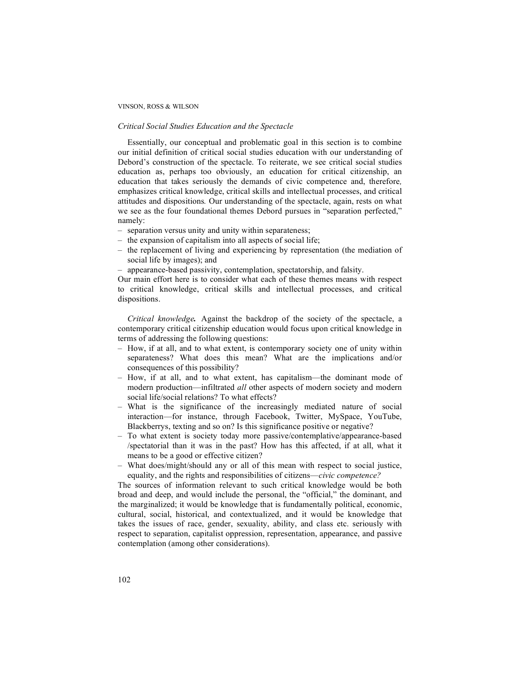# *Critical Social Studies Education and the Spectacle*

Essentially, our conceptual and problematic goal in this section is to combine our initial definition of critical social studies education with our understanding of Debord's construction of the spectacle. To reiterate, we see critical social studies education as, perhaps too obviously, an education for critical citizenship, an education that takes seriously the demands of civic competence and, therefore*,* emphasizes critical knowledge, critical skills and intellectual processes, and critical attitudes and dispositions*.* Our understanding of the spectacle, again, rests on what we see as the four foundational themes Debord pursues in "separation perfected," namely:

- separation versus unity and unity within separateness;
- the expansion of capitalism into all aspects of social life;
- the replacement of living and experiencing by representation (the mediation of social life by images); and
- appearance-based passivity, contemplation, spectatorship, and falsity.

Our main effort here is to consider what each of these themes means with respect to critical knowledge, critical skills and intellectual processes, and critical dispositions.

*Critical knowledge.* Against the backdrop of the society of the spectacle, a contemporary critical citizenship education would focus upon critical knowledge in terms of addressing the following questions:

- How, if at all, and to what extent, is contemporary society one of unity within separateness? What does this mean? What are the implications and/or consequences of this possibility?
- How, if at all, and to what extent, has capitalism—the dominant mode of modern production—infiltrated *all* other aspects of modern society and modern social life/social relations? To what effects?
- What is the significance of the increasingly mediated nature of social interaction—for instance, through Facebook, Twitter, MySpace, YouTube, Blackberrys, texting and so on? Is this significance positive or negative?
- To what extent is society today more passive/contemplative/appearance-based /spectatorial than it was in the past? How has this affected, if at all, what it means to be a good or effective citizen?
- What does/might/should any or all of this mean with respect to social justice, equality, and the rights and responsibilities of citizens—*civic competence?*

The sources of information relevant to such critical knowledge would be both broad and deep, and would include the personal, the "official," the dominant, and the marginalized; it would be knowledge that is fundamentally political, economic, cultural, social, historical, and contextualized, and it would be knowledge that takes the issues of race, gender, sexuality, ability, and class etc. seriously with respect to separation, capitalist oppression, representation, appearance, and passive contemplation (among other considerations).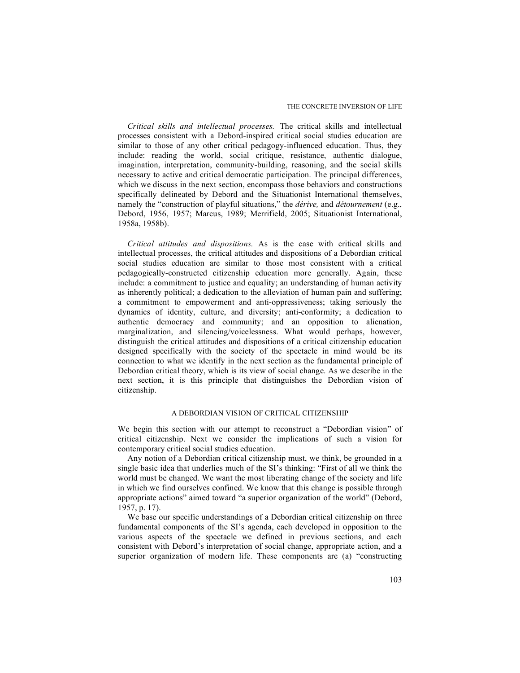*Critical skills and intellectual processes.* The critical skills and intellectual processes consistent with a Debord-inspired critical social studies education are similar to those of any other critical pedagogy-influenced education. Thus, they include: reading the world, social critique, resistance, authentic dialogue, imagination, interpretation, community-building, reasoning, and the social skills necessary to active and critical democratic participation. The principal differences, which we discuss in the next section, encompass those behaviors and constructions specifically delineated by Debord and the Situationist International themselves, namely the "construction of playful situations," the *dérive,* and *détournement* (e.g., Debord, 1956, 1957; Marcus, 1989; Merrifield, 2005; Situationist International, 1958a, 1958b).

*Critical attitudes and dispositions.* As is the case with critical skills and intellectual processes, the critical attitudes and dispositions of a Debordian critical social studies education are similar to those most consistent with a critical pedagogically-constructed citizenship education more generally. Again, these include: a commitment to justice and equality; an understanding of human activity as inherently political; a dedication to the alleviation of human pain and suffering; a commitment to empowerment and anti-oppressiveness; taking seriously the dynamics of identity, culture, and diversity; anti-conformity; a dedication to authentic democracy and community; and an opposition to alienation, marginalization, and silencing/voicelessness. What would perhaps, however, distinguish the critical attitudes and dispositions of a critical citizenship education designed specifically with the society of the spectacle in mind would be its connection to what we identify in the next section as the fundamental principle of Debordian critical theory, which is its view of social change. As we describe in the next section, it is this principle that distinguishes the Debordian vision of citizenship.

#### A DEBORDIAN VISION OF CRITICAL CITIZENSHIP

We begin this section with our attempt to reconstruct a "Debordian vision" of critical citizenship. Next we consider the implications of such a vision for contemporary critical social studies education.

Any notion of a Debordian critical citizenship must, we think, be grounded in a single basic idea that underlies much of the SI's thinking: "First of all we think the world must be changed. We want the most liberating change of the society and life in which we find ourselves confined. We know that this change is possible through appropriate actions" aimed toward "a superior organization of the world" (Debord, 1957, p. 17).

We base our specific understandings of a Debordian critical citizenship on three fundamental components of the SI's agenda, each developed in opposition to the various aspects of the spectacle we defined in previous sections, and each consistent with Debord's interpretation of social change, appropriate action, and a superior organization of modern life. These components are (a) "constructing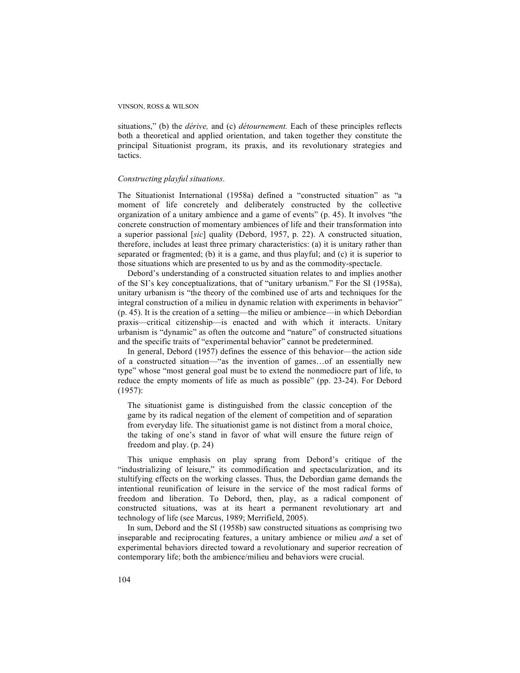situations," (b) the *dérive*, and (c) *détournement*. Each of these principles reflects both a theoretical and applied orientation, and taken together they constitute the principal Situationist program, its praxis, and its revolutionary strategies and tactics.

#### *Constructing playful situations.*

The Situationist International (1958a) defined a "constructed situation" as "a moment of life concretely and deliberately constructed by the collective organization of a unitary ambience and a game of events" (p. 45). It involves "the concrete construction of momentary ambiences of life and their transformation into a superior passional [*sic*] quality (Debord, 1957, p. 22). A constructed situation, therefore, includes at least three primary characteristics: (a) it is unitary rather than separated or fragmented; (b) it is a game, and thus playful; and (c) it is superior to those situations which are presented to us by and as the commodity-spectacle.

Debord's understanding of a constructed situation relates to and implies another of the SI's key conceptualizations, that of "unitary urbanism." For the SI (1958a), unitary urbanism is "the theory of the combined use of arts and techniques for the integral construction of a milieu in dynamic relation with experiments in behavior" (p. 45). It is the creation of a setting—the milieu or ambience—in which Debordian praxis—critical citizenship—is enacted and with which it interacts. Unitary urbanism is "dynamic" as often the outcome and "nature" of constructed situations and the specific traits of "experimental behavior" cannot be predetermined.

In general, Debord (1957) defines the essence of this behavior—the action side of a constructed situation—"as the invention of games…of an essentially new type" whose "most general goal must be to extend the nonmediocre part of life, to reduce the empty moments of life as much as possible" (pp. 23-24). For Debord (1957):

The situationist game is distinguished from the classic conception of the game by its radical negation of the element of competition and of separation from everyday life. The situationist game is not distinct from a moral choice, the taking of one's stand in favor of what will ensure the future reign of freedom and play. (p. 24)

This unique emphasis on play sprang from Debord's critique of the "industrializing of leisure," its commodification and spectacularization, and its stultifying effects on the working classes. Thus, the Debordian game demands the intentional reunification of leisure in the service of the most radical forms of freedom and liberation. To Debord, then, play, as a radical component of constructed situations, was at its heart a permanent revolutionary art and technology of life (see Marcus, 1989; Merrifield, 2005).

In sum, Debord and the SI (1958b) saw constructed situations as comprising two inseparable and reciprocating features, a unitary ambience or milieu *and* a set of experimental behaviors directed toward a revolutionary and superior recreation of contemporary life; both the ambience/milieu and behaviors were crucial.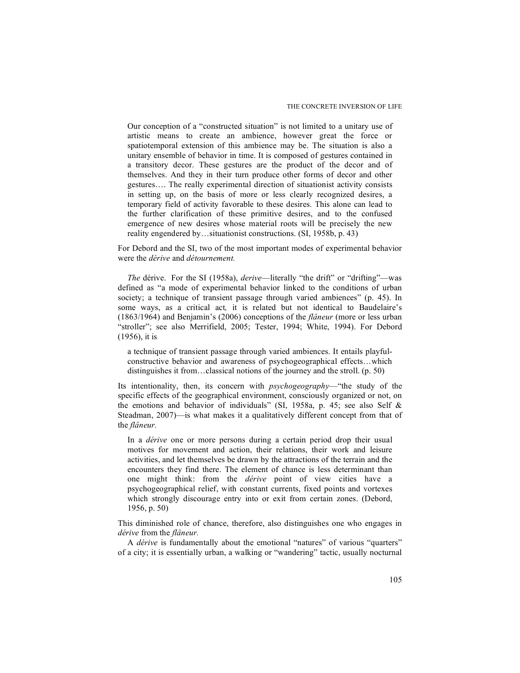Our conception of a "constructed situation" is not limited to a unitary use of artistic means to create an ambience, however great the force or spatiotemporal extension of this ambience may be. The situation is also a unitary ensemble of behavior in time. It is composed of gestures contained in a transitory decor. These gestures are the product of the decor and of themselves. And they in their turn produce other forms of decor and other gestures…. The really experimental direction of situationist activity consists in setting up, on the basis of more or less clearly recognized desires, a temporary field of activity favorable to these desires. This alone can lead to the further clarification of these primitive desires, and to the confused emergence of new desires whose material roots will be precisely the new reality engendered by…situationist constructions. (SI, 1958b, p. 43)

For Debord and the SI, two of the most important modes of experimental behavior were the *dérive* and *détournement.*

*The* dérive. For the SI (1958a), *derive*—literally "the drift" or "drifting"—was defined as "a mode of experimental behavior linked to the conditions of urban society; a technique of transient passage through varied ambiences" (p. 45). In some ways, as a critical act*,* it is related but not identical to Baudelaire's (1863/1964) and Benjamin's (2006) conceptions of the *flâneur* (more or less urban "stroller"; see also Merrifield, 2005; Tester, 1994; White, 1994). For Debord (1956), it is

a technique of transient passage through varied ambiences. It entails playfulconstructive behavior and awareness of psychogeographical effects…which distinguishes it from…classical notions of the journey and the stroll. (p. 50)

Its intentionality, then, its concern with *psychogeography*—"the study of the specific effects of the geographical environment, consciously organized or not, on the emotions and behavior of individuals" (SI, 1958a, p. 45; see also Self & Steadman, 2007)—is what makes it a qualitatively different concept from that of the *flâneur.*

In a *dérive* one or more persons during a certain period drop their usual motives for movement and action, their relations, their work and leisure activities, and let themselves be drawn by the attractions of the terrain and the encounters they find there. The element of chance is less determinant than one might think: from the *dérive* point of view cities have a psychogeographical relief, with constant currents, fixed points and vortexes which strongly discourage entry into or exit from certain zones. (Debord, 1956, p. 50)

This diminished role of chance, therefore, also distinguishes one who engages in *dérive* from the *flâneur.*

A *dérive* is fundamentally about the emotional "natures" of various "quarters" of a city; it is essentially urban, a walking or "wandering" tactic, usually nocturnal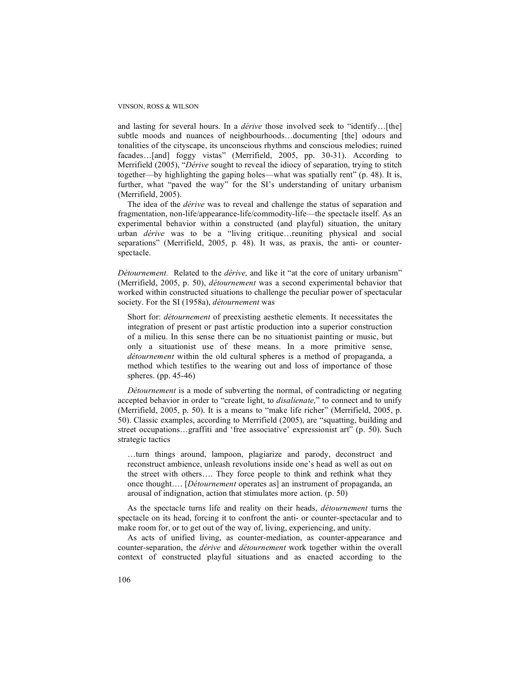and lasting for several hours. In a *dérive* those involved seek to "identify…[the] subtle moods and nuances of neighbourhoods…documenting [the] odours and tonalities of the cityscape, its unconscious rhythms and conscious melodies; ruined facades...[and] foggy vistas" (Merrifield, 2005, pp. 30-31). According to Merrifield (2005), "*Dérive* sought to reveal the idiocy of separation, trying to stitch together—by highlighting the gaping holes—what was spatially rent" (p. 48). It is, further, what "paved the way" for the SI's understanding of unitary urbanism (Merrifield, 2005).

The idea of the *dérive* was to reveal and challenge the status of separation and fragmentation, non-life/appearance-life/commodity-life—the spectacle itself. As an experimental behavior within a constructed (and playful) situation, the unitary urban *dérive* was to be a "living critique…reuniting physical and social separations" (Merrifield, 2005, p. 48). It was, as praxis, the anti- or counterspectacle.

*Détournement.* Related to the *dérive,* and like it "at the core of unitary urbanism" (Merrifield, 2005, p. 50), *détournement* was a second experimental behavior that worked within constructed situations to challenge the peculiar power of spectacular society. For the SI (1958a), *détournement* was

Short for: *détournement* of preexisting aesthetic elements. It necessitates the integration of present or past artistic production into a superior construction of a milieu. In this sense there can be no situationist painting or music, but only a situationist use of these means. In a more primitive sense, *détournement* within the old cultural spheres is a method of propaganda, a method which testifies to the wearing out and loss of importance of those spheres. (pp. 45-46)

*Détournement* is a mode of subverting the normal, of contradicting or negating accepted behavior in order to "create light, to *disalienate,*" to connect and to unify (Merrifield, 2005, p. 50). It is a means to "make life richer" (Merrifield, 2005, p. 50). Classic examples, according to Merrifield (2005), are "squatting, building and street occupations…graffiti and 'free associative' expressionist art" (p. 50). Such strategic tactics

…turn things around, lampoon, plagiarize and parody, deconstruct and reconstruct ambience, unleash revolutions inside one's head as well as out on the street with others…. They force people to think and rethink what they once thought…. [*Détournement* operates as] an instrument of propaganda, an arousal of indignation, action that stimulates more action. (p. 50)

As the spectacle turns life and reality on their heads, *détournement* turns the spectacle on its head, forcing it to confront the anti- or counter-spectacular and to make room for, or to get out of the way of, living, experiencing, and unity.

As acts of unified living, as counter-mediation, as counter-appearance and counter-separation, the *dérive* and *détournement* work together within the overall context of constructed playful situations and as enacted according to the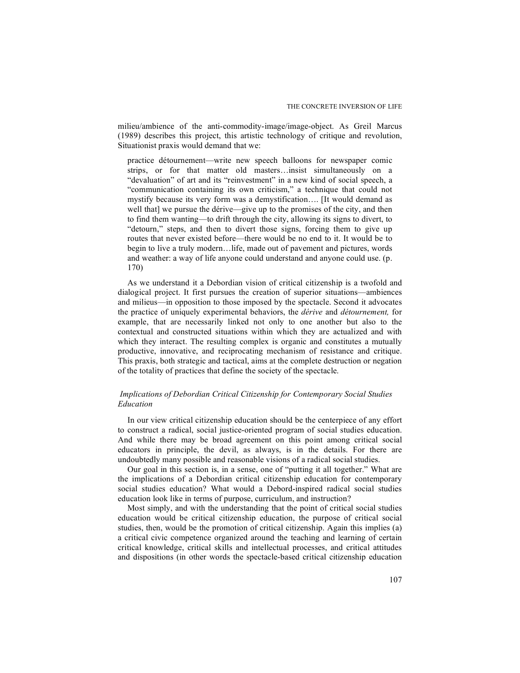milieu/ambience of the anti-commodity-image/image-object. As Greil Marcus (1989) describes this project, this artistic technology of critique and revolution, Situationist praxis would demand that we:

practice détournement—write new speech balloons for newspaper comic strips, or for that matter old masters…insist simultaneously on a "devaluation" of art and its "reinvestment" in a new kind of social speech, a "communication containing its own criticism," a technique that could not mystify because its very form was a demystification…. [It would demand as well that] we pursue the dérive—give up to the promises of the city, and then to find them wanting—to drift through the city, allowing its signs to divert, to "detourn," steps, and then to divert those signs, forcing them to give up routes that never existed before—there would be no end to it. It would be to begin to live a truly modern…life, made out of pavement and pictures, words and weather: a way of life anyone could understand and anyone could use. (p. 170)

As we understand it a Debordian vision of critical citizenship is a twofold and dialogical project. It first pursues the creation of superior situations—ambiences and milieus—in opposition to those imposed by the spectacle. Second it advocates the practice of uniquely experimental behaviors, the *dérive* and *détournement,* for example, that are necessarily linked not only to one another but also to the contextual and constructed situations within which they are actualized and with which they interact. The resulting complex is organic and constitutes a mutually productive, innovative, and reciprocating mechanism of resistance and critique. This praxis, both strategic and tactical, aims at the complete destruction or negation of the totality of practices that define the society of the spectacle.

# *Implications of Debordian Critical Citizenship for Contemporary Social Studies Education*

In our view critical citizenship education should be the centerpiece of any effort to construct a radical, social justice-oriented program of social studies education. And while there may be broad agreement on this point among critical social educators in principle, the devil, as always, is in the details. For there are undoubtedly many possible and reasonable visions of a radical social studies.

Our goal in this section is, in a sense, one of "putting it all together." What are the implications of a Debordian critical citizenship education for contemporary social studies education? What would a Debord-inspired radical social studies education look like in terms of purpose, curriculum, and instruction?

Most simply, and with the understanding that the point of critical social studies education would be critical citizenship education, the purpose of critical social studies, then, would be the promotion of critical citizenship. Again this implies (a) a critical civic competence organized around the teaching and learning of certain critical knowledge, critical skills and intellectual processes, and critical attitudes and dispositions (in other words the spectacle-based critical citizenship education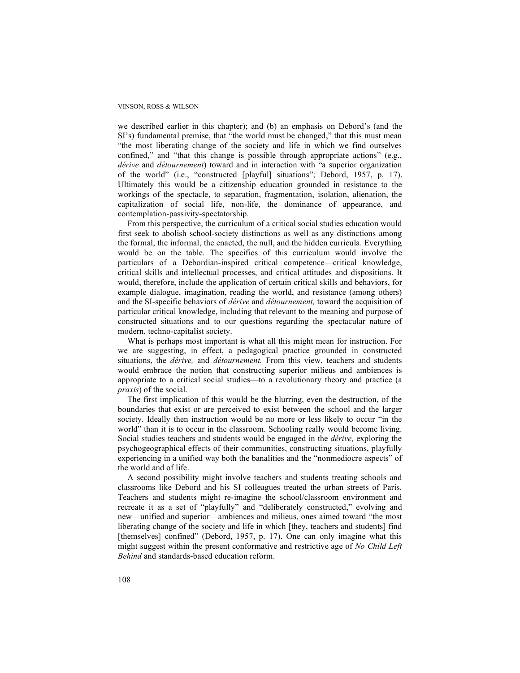we described earlier in this chapter); and (b) an emphasis on Debord's (and the SI's) fundamental premise, that "the world must be changed," that this must mean "the most liberating change of the society and life in which we find ourselves confined," and "that this change is possible through appropriate actions" (e.g., *dérive* and *détournement*) toward and in interaction with "a superior organization of the world" (i.e., "constructed [playful] situations"; Debord, 1957, p. 17). Ultimately this would be a citizenship education grounded in resistance to the workings of the spectacle, to separation, fragmentation, isolation, alienation, the capitalization of social life, non-life, the dominance of appearance, and contemplation-passivity-spectatorship.

From this perspective, the curriculum of a critical social studies education would first seek to abolish school-society distinctions as well as any distinctions among the formal, the informal, the enacted, the null, and the hidden curricula. Everything would be on the table. The specifics of this curriculum would involve the particulars of a Debordian-inspired critical competence—critical knowledge, critical skills and intellectual processes, and critical attitudes and dispositions. It would, therefore, include the application of certain critical skills and behaviors, for example dialogue, imagination, reading the world, and resistance (among others) and the SI-specific behaviors of *dérive* and *détournement,* toward the acquisition of particular critical knowledge, including that relevant to the meaning and purpose of constructed situations and to our questions regarding the spectacular nature of modern, techno-capitalist society.

What is perhaps most important is what all this might mean for instruction. For we are suggesting, in effect, a pedagogical practice grounded in constructed situations, the *dérive,* and *détournement.* From this view, teachers and students would embrace the notion that constructing superior milieus and ambiences is appropriate to a critical social studies—to a revolutionary theory and practice (a *praxis*) of the social.

The first implication of this would be the blurring, even the destruction, of the boundaries that exist or are perceived to exist between the school and the larger society. Ideally then instruction would be no more or less likely to occur "in the world" than it is to occur in the classroom. Schooling really would become living. Social studies teachers and students would be engaged in the *dérive,* exploring the psychogeographical effects of their communities, constructing situations, playfully experiencing in a unified way both the banalities and the "nonmediocre aspects" of the world and of life.

A second possibility might involve teachers and students treating schools and classrooms like Debord and his SI colleagues treated the urban streets of Paris. Teachers and students might re-imagine the school/classroom environment and recreate it as a set of "playfully" and "deliberately constructed," evolving and new—unified and superior—ambiences and milieus, ones aimed toward "the most liberating change of the society and life in which [they, teachers and students] find [themselves] confined" (Debord, 1957, p. 17). One can only imagine what this might suggest within the present conformative and restrictive age of *No Child Left Behind* and standards-based education reform.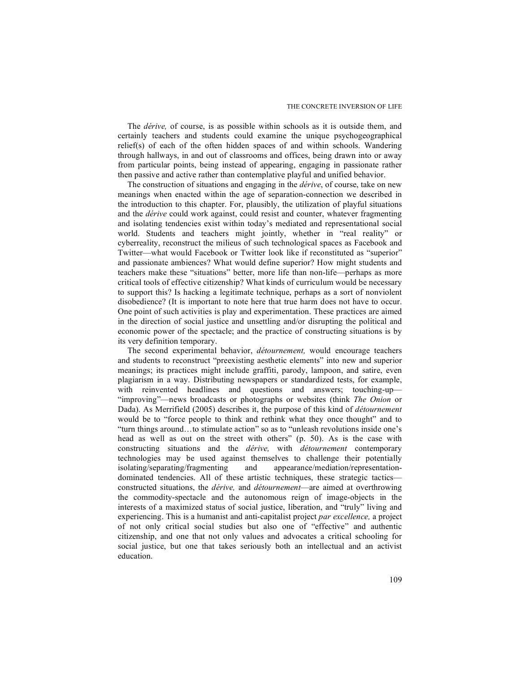The *dérive,* of course, is as possible within schools as it is outside them, and certainly teachers and students could examine the unique psychogeographical relief(s) of each of the often hidden spaces of and within schools. Wandering through hallways, in and out of classrooms and offices, being drawn into or away from particular points, being instead of appearing, engaging in passionate rather then passive and active rather than contemplative playful and unified behavior.

The construction of situations and engaging in the *dérive*, of course, take on new meanings when enacted within the age of separation-connection we described in the introduction to this chapter. For, plausibly, the utilization of playful situations and the *dérive* could work against, could resist and counter, whatever fragmenting and isolating tendencies exist within today's mediated and representational social world. Students and teachers might jointly, whether in "real reality" or cyberreality, reconstruct the milieus of such technological spaces as Facebook and Twitter—what would Facebook or Twitter look like if reconstituted as "superior" and passionate ambiences? What would define superior? How might students and teachers make these "situations" better, more life than non-life—perhaps as more critical tools of effective citizenship? What kinds of curriculum would be necessary to support this? Is hacking a legitimate technique, perhaps as a sort of nonviolent disobedience? (It is important to note here that true harm does not have to occur. One point of such activities is play and experimentation. These practices are aimed in the direction of social justice and unsettling and/or disrupting the political and economic power of the spectacle; and the practice of constructing situations is by its very definition temporary.

The second experimental behavior, *détournement,* would encourage teachers and students to reconstruct "preexisting aesthetic elements" into new and superior meanings; its practices might include graffiti, parody, lampoon, and satire, even plagiarism in a way. Distributing newspapers or standardized tests, for example, with reinvented headlines and questions and answers; touching-up— "improving"—news broadcasts or photographs or websites (think *The Onion* or Dada). As Merrifield (2005) describes it, the purpose of this kind of *détournement* would be to "force people to think and rethink what they once thought" and to "turn things around…to stimulate action" so as to "unleash revolutions inside one's head as well as out on the street with others" (p. 50). As is the case with constructing situations and the *dérive,* with *détournement* contemporary technologies may be used against themselves to challenge their potentially isolating/separating/fragmenting and appearance/mediation/representationdominated tendencies. All of these artistic techniques, these strategic tactics constructed situations, the *dérive,* and *détournement*—are aimed at overthrowing the commodity-spectacle and the autonomous reign of image-objects in the interests of a maximized status of social justice, liberation, and "truly" living and experiencing. This is a humanist and anti-capitalist project *par excellence,* a project of not only critical social studies but also one of "effective" and authentic citizenship, and one that not only values and advocates a critical schooling for social justice, but one that takes seriously both an intellectual and an activist education.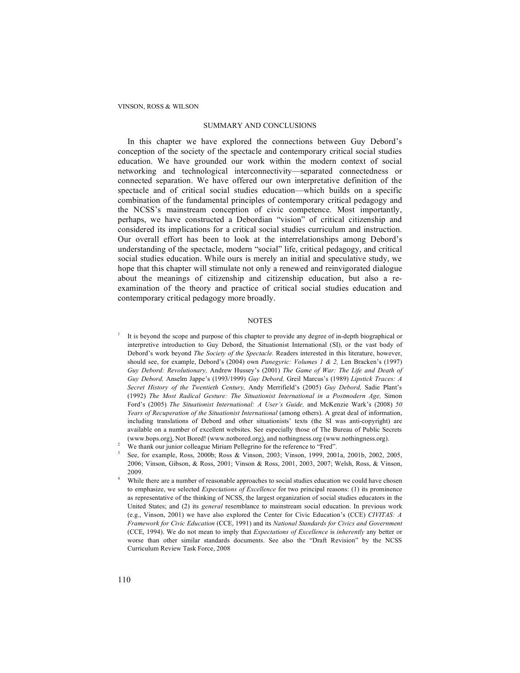## SUMMARY AND CONCLUSIONS

In this chapter we have explored the connections between Guy Debord's conception of the society of the spectacle and contemporary critical social studies education. We have grounded our work within the modern context of social networking and technological interconnectivity—separated connectedness or connected separation. We have offered our own interpretative definition of the spectacle and of critical social studies education—which builds on a specific combination of the fundamental principles of contemporary critical pedagogy and the NCSS's mainstream conception of civic competence. Most importantly, perhaps, we have constructed a Debordian "vision" of critical citizenship and considered its implications for a critical social studies curriculum and instruction. Our overall effort has been to look at the interrelationships among Debord's understanding of the spectacle, modern "social" life, critical pedagogy, and critical social studies education. While ours is merely an initial and speculative study, we hope that this chapter will stimulate not only a renewed and reinvigorated dialogue about the meanings of citizenship and citizenship education, but also a reexamination of the theory and practice of critical social studies education and contemporary critical pedagogy more broadly.

#### **NOTES**

- <sup>1</sup> It is beyond the scope and purpose of this chapter to provide any degree of in-depth biographical or interpretive introduction to Guy Debord, the Situationist International (SI), or the vast body of Debord's work beyond *The Society of the Spectacle.* Readers interested in this literature, however, should see, for example, Debord's (2004) own *Panegyric: Volumes 1 & 2,* Len Bracken's (1997) *Guy Debord: Revolutionary,* Andrew Hussey's (2001) *The Game of War: The Life and Death of Guy Debord,* Anselm Jappe's (1993/1999) *Guy Debord,* Greil Marcus's (1989) *Lipstick Traces: A Secret History of the Twentieth Century,* Andy Merrifield's (2005) *Guy Debord,* Sadie Plant's (1992) *The Most Radical Gesture: The Situationist International in a Postmodern Age,* Simon Ford's (2005) *The Situationist International: A User's Guide,* and McKenzie Wark's (2008) *50 Years of Recuperation of the Situationist International* (among others). A great deal of information, including translations of Debord and other situationists' texts (the SI was anti-copyright) are available on a number of excellent websites. See especially those of The Bureau of Public Secrets (www.bops.org), Not Bored! (www.notbored.org), and nothingness.org (www.nothingness.org).
- <sup>2</sup> We thank our junior colleague Miriam Pellegrino for the reference to "Fred".
- <sup>3</sup> See, for example, Ross, 2000b; Ross & Vinson, 2003; Vinson, 1999, 2001a, 2001b, 2002, 2005, 2006; Vinson, Gibson, & Ross, 2001; Vinson & Ross, 2001, 2003, 2007; Welsh, Ross, & Vinson, 2009.
- While there are a number of reasonable approaches to social studies education we could have chosen to emphasize, we selected *Expectations of Excellence* for two principal reasons: (1) its prominence as representative of the thinking of NCSS, the largest organization of social studies educators in the United States; and (2) its *general* resemblance to mainstream social education. In previous work (e.g., Vinson, 2001) we have also explored the Center for Civic Education's (CCE) *CIVITAS: A Framework for Civic Education* (CCE, 1991) and its *National Standards for Civics and Government* (CCE, 1994). We do not mean to imply that *Expectations of Excellence* is *inherently* any better or worse than other similar standards documents. See also the "Draft Revision" by the NCSS Curriculum Review Task Force, 2008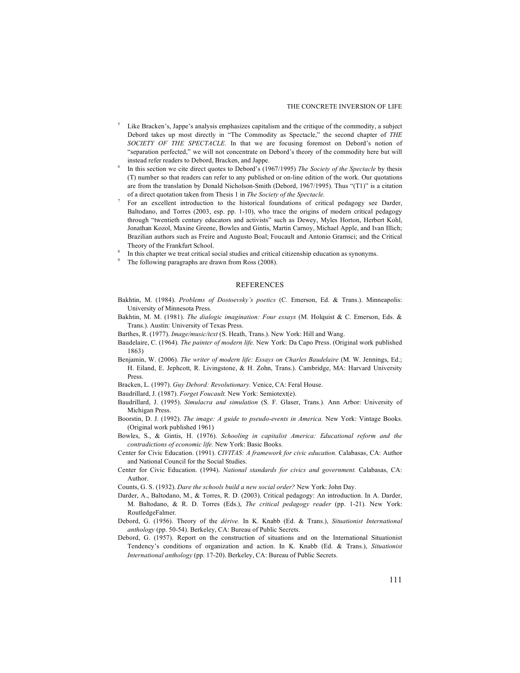- Like Bracken's, Jappe's analysis emphasizes capitalism and the critique of the commodity, a subject Debord takes up most directly in "The Commodity as Spectacle," the second chapter of *THE SOCIETY OF THE SPECTACLE.* In that we are focusing foremost on Debord's notion of "separation perfected," we will not concentrate on Debord's theory of the commodity here but will instead refer readers to Debord, Bracken, and Jappe.
- <sup>6</sup> In this section we cite direct quotes to Debord's (1967/1995) *The Society of the Spectacle* by thesis (T) number so that readers can refer to any published or on-line edition of the work. Our quotations are from the translation by Donald Nicholson-Smith (Debord, 1967/1995). Thus "(T1)" is a citation of a direct quotation taken from Thesis 1 in *The Society of the Spectacle.*
- <sup>7</sup> For an excellent introduction to the historical foundations of critical pedagogy see Darder, Baltodano, and Torres (2003, esp. pp. 1-10), who trace the origins of modern critical pedagogy through "twentieth century educators and activists" such as Dewey, Myles Horton, Herbert Kohl, Jonathan Kozol, Maxine Greene, Bowles and Gintis, Martin Carnoy, Michael Apple, and Ivan Illich; Brazilian authors such as Freire and Augusto Boal; Foucault and Antonio Gramsci; and the Critical Theory of the Frankfurt School.
- <sup>8</sup> In this chapter we treat critical social studies and critical citizenship education as synonyms.
- The following paragraphs are drawn from Ross (2008).

## REFERENCES

- Bakhtin, M. (1984). *Problems of Dostoevsky's poetics* (C. Emerson, Ed. & Trans.). Minneapolis: University of Minnesota Press.
- Bakhtin, M. M. (1981). *The dialogic imagination: Four essays* (M. Holquist & C. Emerson, Eds. & Trans.). Austin: University of Texas Press.
- Barthes, R. (1977). *Image/music/text* (S. Heath, Trans.). New York: Hill and Wang.
- Baudelaire, C. (1964). *The painter of modern life.* New York: Da Capo Press. (Original work published 1863)
- Benjamin, W. (2006). *The writer of modern life: Essays on Charles Baudelaire* (M. W. Jennings, Ed.; H. Eiland, E. Jephcott, R. Livingstone, & H. Zohn, Trans.). Cambridge, MA: Harvard University Press.
- Bracken, L. (1997). *Guy Debord: Revolutionary.* Venice, CA: Feral House.
- Baudrillard, J. (1987). *Forget Foucault.* New York: Semiotext(e).
- Baudrillard, J. (1995). *Simulacra and simulation* (S. F. Glaser, Trans.). Ann Arbor: University of Michigan Press.
- Boorstin, D. J. (1992). *The image: A guide to pseudo-events in America.* New York: Vintage Books. (Original work published 1961)
- Bowles, S., & Gintis, H. (1976). *Schooling in capitalist America: Educational reform and the contradictions of economic life.* New York: Basic Books.
- Center for Civic Education. (1991). *CIVITAS: A framework for civic education.* Calabasas, CA: Author and National Council for the Social Studies.
- Center for Civic Education. (1994). *National standards for civics and government.* Calabasas, CA: Author.
- Counts, G. S. (1932). *Dare the schools build a new social order?* New York: John Day.
- Darder, A., Baltodano, M., & Torres, R. D. (2003). Critical pedagogy: An introduction. In A. Darder, M. Baltodano, & R. D. Torres (Eds.), *The critical pedagogy reader* (pp. 1-21). New York: RoutledgeFalmer.
- Debord, G. (1956). Theory of the *dérive.* In K. Knabb (Ed. & Trans.), *Situationist International anthology* (pp. 50-54). Berkeley, CA: Bureau of Public Secrets.
- Debord, G. (1957). Report on the construction of situations and on the International Situationist Tendency's conditions of organization and action. In K. Knabb (Ed. & Trans.), *Situationist International anthology* (pp. 17-20). Berkeley, CA: Bureau of Public Secrets.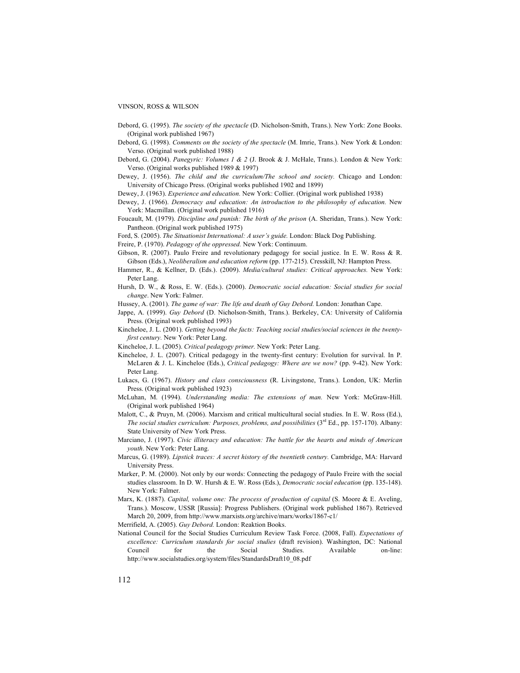- Debord, G. (1995). *The society of the spectacle* (D. Nicholson-Smith, Trans.). New York: Zone Books. (Original work published 1967)
- Debord, G. (1998). *Comments on the society of the spectacle* (M. Imrie, Trans.). New York & London: Verso. (Original work published 1988)
- Debord, G. (2004). *Panegyric: Volumes 1 & 2* (J. Brook & J. McHale, Trans.). London & New York: Verso. (Original works published 1989 & 1997)
- Dewey, J. (1956). *The child and the curriculum/The school and society.* Chicago and London: University of Chicago Press. (Original works published 1902 and 1899)
- Dewey, J. (1963). *Experience and education.* New York: Collier. (Original work published 1938)
- Dewey, J. (1966). *Democracy and education: An introduction to the philosophy of education.* New York: Macmillan. (Original work published 1916)
- Foucault, M. (1979). *Discipline and punish: The birth of the prison* (A. Sheridan, Trans.). New York: Pantheon. (Original work published 1975)
- Ford, S. (2005). *The Situationist International: A user's guide.* London: Black Dog Publishing.
- Freire, P. (1970). *Pedagogy of the oppressed.* New York: Continuum.
- Gibson, R. (2007). Paulo Freire and revolutionary pedagogy for social justice. In E. W. Ross & R. Gibson (Eds.), *Neoliberalism and education reform* (pp. 177-215). Cresskill, NJ: Hampton Press.
- Hammer, R., & Kellner, D. (Eds.). (2009). *Media/cultural studies: Critical approaches.* New York: Peter Lang.
- Hursh, D. W., & Ross, E. W. (Eds.). (2000). *Democratic social education: Social studies for social change*. New York: Falmer.
- Hussey, A. (2001). *The game of war: The life and death of Guy Debord.* London: Jonathan Cape.
- Jappe, A. (1999). *Guy Debord* (D. Nicholson-Smith, Trans.). Berkeley, CA: University of California Press. (Original work published 1993)
- Kincheloe, J. L. (2001). *Getting beyond the facts: Teaching social studies/social sciences in the twentyfirst century.* New York: Peter Lang.
- Kincheloe, J. L. (2005). *Critical pedagogy primer.* New York: Peter Lang.
- Kincheloe, J. L. (2007). Critical pedagogy in the twenty-first century: Evolution for survival. In P. McLaren & J. L. Kincheloe (Eds.), *Critical pedagogy: Where are we now?* (pp. 9-42). New York: Peter Lang.
- Lukacs, G. (1967). *History and class consciousness* (R. Livingstone, Trans.). London, UK: Merlin Press. (Original work published 1923)
- McLuhan, M. (1994). *Understanding media: The extensions of man.* New York: McGraw-Hill. (Original work published 1964)
- Malott, C., & Pruyn, M. (2006). Marxism and critical multicultural social studies. In E. W. Ross (Ed.), *The social studies curriculum: Purposes, problems, and possibilities* (3<sup>rd</sup> Ed., pp. 157-170). Albany: State University of New York Press.
- Marciano, J. (1997). *Civic illiteracy and education: The battle for the hearts and minds of American youth*. New York: Peter Lang.
- Marcus, G. (1989). *Lipstick traces: A secret history of the twentieth century.* Cambridge, MA: Harvard University Press.
- Marker, P. M. (2000). Not only by our words: Connecting the pedagogy of Paulo Freire with the social studies classroom. In D. W. Hursh & E. W. Ross (Eds.), *Democratic social education* (pp. 135-148). New York: Falmer.
- Marx, K. (1887). *Capital, volume one: The process of production of capital* (S. Moore & E. Aveling, Trans.). Moscow, USSR [Russia]: Progress Publishers. (Original work published 1867). Retrieved March 20, 2009, from http://www.marxists.org/archive/marx/works/1867-c1/
- Merrifield, A. (2005). *Guy Debord.* London: Reaktion Books.
- National Council for the Social Studies Curriculum Review Task Force. (2008, Fall). *Expectations of excellence: Curriculum standards for social studies* (draft revision). Washington, DC: National Council for the Social Studies. Available on-line: http://www.socialstudies.org/system/files/StandardsDraft10\_08.pdf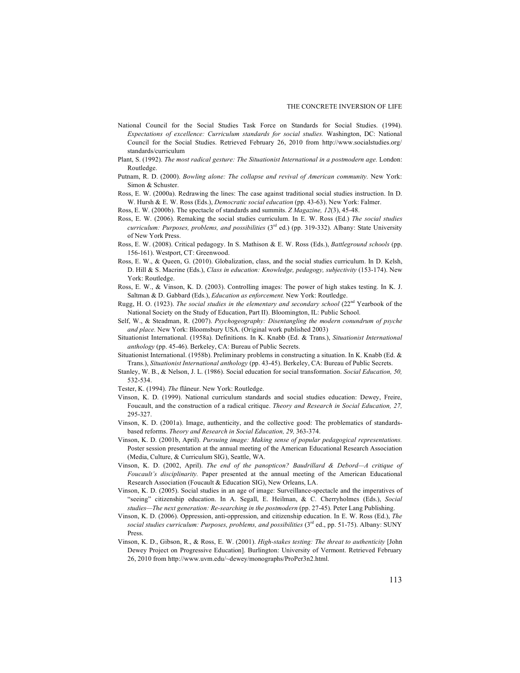- National Council for the Social Studies Task Force on Standards for Social Studies. (1994). *Expectations of excellence: Curriculum standards for social studies.* Washington, DC: National Council for the Social Studies. Retrieved February 26, 2010 from http://www.socialstudies.org/ standards/curriculum
- Plant, S. (1992). *The most radical gesture: The Situationist International in a postmodern age.* London: Routledge.
- Putnam, R. D. (2000). *Bowling alone: The collapse and revival of American community.* New York: Simon & Schuster.
- Ross, E. W. (2000a). Redrawing the lines: The case against traditional social studies instruction. In D. W. Hursh & E. W. Ross (Eds.), *Democratic social education* (pp. 43-63). New York: Falmer.
- Ross, E. W. (2000b). The spectacle of standards and summits. *Z Magazine, 12*(3), 45-48.
- Ross, E. W. (2006). Remaking the social studies curriculum. In E. W. Ross (Ed.) *The social studies curriculum: Purposes, problems, and possibilities* (3rd ed.) (pp. 319-332). Albany: State University of New York Press.
- Ross, E. W. (2008). Critical pedagogy. In S. Mathison & E. W. Ross (Eds.), *Battleground schools* (pp. 156-161). Westport, CT: Greenwood.
- Ross, E. W., & Queen, G. (2010). Globalization, class, and the social studies curriculum. In D. Kelsh, D. Hill & S. Macrine (Eds.), *Class in education: Knowledge, pedagogy, subjectivity* (153-174). New York: Routledge.
- Ross, E. W., & Vinson, K. D. (2003). Controlling images: The power of high stakes testing. In K. J. Saltman & D. Gabbard (Eds.), *Education as enforcement.* New York: Routledge.
- Rugg, H. O. (1923). *The social studies in the elementary and secondary school* (22<sup>nd</sup> Yearbook of the National Society on the Study of Education, Part II). Bloomington, IL: Public School.
- Self, W., & Steadman, R. (2007). *Psychogeography: Disentangling the modern conundrum of psyche and place.* New York: Bloomsbury USA. (Original work published 2003)
- Situationist International. (1958a). Definitions. In K. Knabb (Ed. & Trans.), *Situationist International anthology* (pp. 45-46). Berkeley, CA: Bureau of Public Secrets.
- Situationist International. (1958b). Preliminary problems in constructing a situation. In K. Knabb (Ed. & Trans.), *Situationist International anthology* (pp. 43-45). Berkeley, CA: Bureau of Public Secrets.
- Stanley, W. B., & Nelson, J. L. (1986). Social education for social transformation. *Social Education, 50,* 532-534.
- Tester, K. (1994). *The* flâneur. New York: Routledge.
- Vinson, K. D. (1999). National curriculum standards and social studies education: Dewey, Freire, Foucault, and the construction of a radical critique. *Theory and Research in Social Education, 27,*  295-327.
- Vinson, K. D. (2001a). Image, authenticity, and the collective good: The problematics of standardsbased reforms. *Theory and Research in Social Education, 29,* 363-374.
- Vinson, K. D. (2001b, April). *Pursuing image: Making sense of popular pedagogical representations.*  Poster session presentation at the annual meeting of the American Educational Research Association (Media, Culture, & Curriculum SIG), Seattle, WA.
- Vinson, K. D. (2002, April). *The end of the panopticon? Baudrillard & Debord—A critique of Foucault's disciplinarity.* Paper presented at the annual meeting of the American Educational Research Association (Foucault & Education SIG), New Orleans, LA.
- Vinson, K. D. (2005). Social studies in an age of image: Surveillance-spectacle and the imperatives of "seeing" citizenship education. In A. Segall, E. Heilman, & C. Cherryholmes (Eds.), *Social studies—The next generation: Re-searching in the postmodern* (pp. 27-45). Peter Lang Publishing.
- Vinson, K. D. (2006). Oppression, anti-oppression, and citizenship education. In E. W. Ross (Ed.), *The*  social studies curriculum: Purposes, problems, and possibilities  $(3<sup>rd</sup>$  ed., pp. 51-75). Albany: SUNY Press.
- Vinson, K. D., Gibson, R., & Ross, E. W. (2001). *High-stakes testing: The threat to authenticity* [John Dewey Project on Progressive Education]. Burlington: University of Vermont. Retrieved February 26, 2010 from http://www.uvm.edu/~dewey/monographs/ProPer3n2.html.